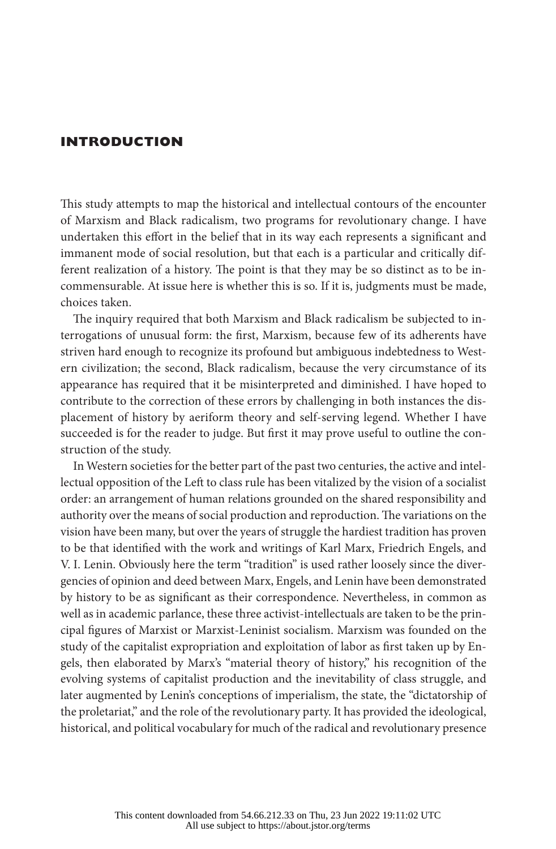## **INTRODUCTION**

This study attempts to map the historical and intellectual contours of the encounter of Marxism and Black radicalism, two programs for revolutionary change. I have undertaken this effort in the belief that in its way each represents a significant and immanent mode of social resolution, but that each is a particular and critically different realization of a history. The point is that they may be so distinct as to be incommensurable. At issue here is whether this is so. If it is, judgments must be made, choices taken.

The inquiry required that both Marxism and Black radicalism be subjected to interrogations of unusual form: the first, Marxism, because few of its adherents have striven hard enough to recognize its profound but ambiguous indebtedness to Western civilization; the second, Black radicalism, because the very circumstance of its appearance has required that it be misinterpreted and diminished. I have hoped to contribute to the correction of these errors by challenging in both instances the displacement of history by aeriform theory and self-serving legend. Whether I have succeeded is for the reader to judge. But first it may prove useful to outline the construction of the study.

In Western societies for the better part of the past two centuries, the active and intellectual opposition of the Left to class rule has been vitalized by the vision of a socialist order: an arrangement of human relations grounded on the shared responsibility and authority over the means of social production and reproduction. The variations on the vision have been many, but over the years of struggle the hardiest tradition has proven to be that identified with the work and writings of Karl Marx, Friedrich Engels, and V. I. Lenin. Obviously here the term "tradition" is used rather loosely since the divergencies of opinion and deed between Marx, Engels, and Lenin have been demonstrated by history to be as significant as their correspondence. Nevertheless, in common as well as in academic parlance, these three activist-intellectuals are taken to be the principal figures of Marxist or Marxist-Leninist socialism. Marxism was founded on the study of the capitalist expropriation and exploitation of labor as first taken up by Engels, then elaborated by Marx's "material theory of history," his recognition of the evolving systems of capitalist production and the inevitability of class struggle, and later augmented by Lenin's conceptions of imperialism, the state, the "dictatorship of the proletariat," and the role of the revolutionary party. It has provided the ideological, historical, and political vocabulary for much of the radical and revolutionary presence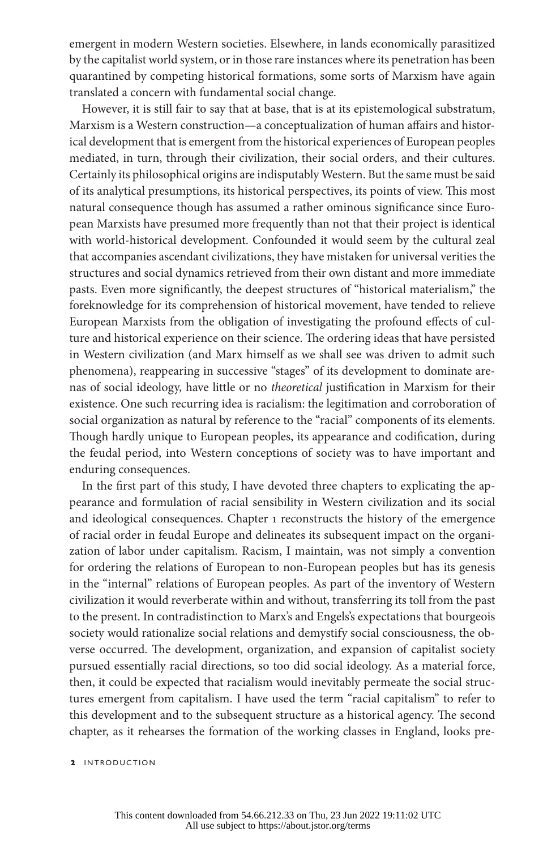emergent in modern Western societies. Elsewhere, in lands economically parasitized by the capitalist world system, or in those rare instances where its penetration has been quarantined by competing historical formations, some sorts of Marxism have again translated a concern with fundamental social change.

However, it is still fair to say that at base, that is at its epistemological substratum, Marxism is a Western construction—a conceptualization of human affairs and historical development that is emergent from the historical experiences of European peoples mediated, in turn, through their civilization, their social orders, and their cultures. Certainly its philosophical origins are indisputably Western. But the same must be said of its analytical presumptions, its historical perspectives, its points of view. This most natural consequence though has assumed a rather ominous significance since European Marxists have presumed more frequently than not that their project is identical with world-historical development. Confounded it would seem by the cultural zeal that accompanies ascendant civilizations, they have mistaken for universal verities the structures and social dynamics retrieved from their own distant and more immediate pasts. Even more significantly, the deepest structures of "historical materialism," the foreknowledge for its comprehension of historical movement, have tended to relieve European Marxists from the obligation of investigating the profound effects of culture and historical experience on their science. The ordering ideas that have persisted in Western civilization (and Marx himself as we shall see was driven to admit such phenomena), reappearing in successive "stages" of its development to dominate arenas of social ideology, have little or no *theoretical* justification in Marxism for their existence. One such recurring idea is racialism: the legitimation and corroboration of social organization as natural by reference to the "racial" components of its elements. Though hardly unique to European peoples, its appearance and codification, during the feudal period, into Western conceptions of society was to have important and enduring consequences.

In the first part of this study, I have devoted three chapters to explicating the appearance and formulation of racial sensibility in Western civilization and its social and ideological consequences. Chapter 1 reconstructs the history of the emergence of racial order in feudal Europe and delineates its subsequent impact on the organization of labor under capitalism. Racism, I maintain, was not simply a convention for ordering the relations of European to non-European peoples but has its genesis in the "internal" relations of European peoples. As part of the inventory of Western civilization it would reverberate within and without, transferring its toll from the past to the present. In contradistinction to Marx's and Engels's expectations that bourgeois society would rationalize social relations and demystify social consciousness, the obverse occurred. The development, organization, and expansion of capitalist society pursued essentially racial directions, so too did social ideology. As a material force, then, it could be expected that racialism would inevitably permeate the social structures emergent from capitalism. I have used the term "racial capitalism" to refer to this development and to the subsequent structure as a historical agency. The second chapter, as it rehearses the formation of the working classes in England, looks pre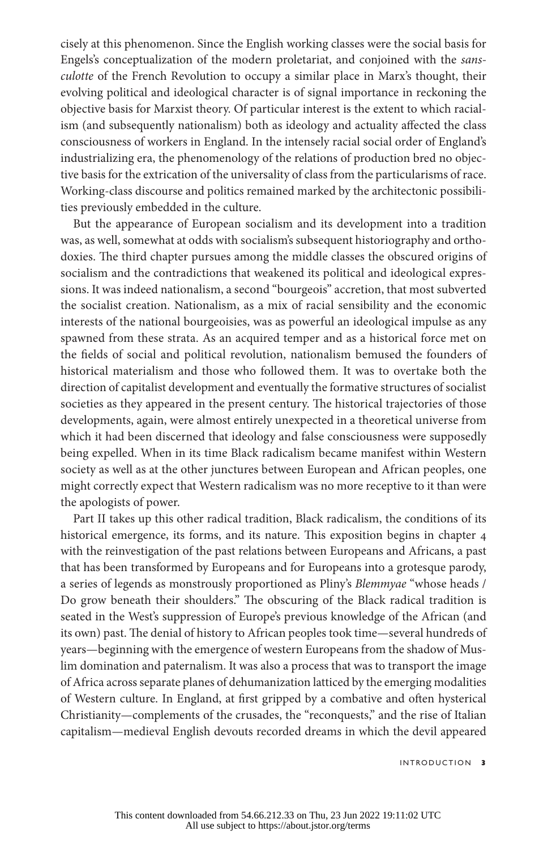cisely at this phenomenon. Since the English working classes were the social basis for Engels's conceptualization of the modern proletariat, and conjoined with the *sansculotte* of the French Revolution to occupy a similar place in Marx's thought, their evolving political and ideological character is of signal importance in reckoning the objective basis for Marxist theory. Of particular interest is the extent to which racialism (and subsequently nationalism) both as ideology and actuality affected the class consciousness of workers in England. In the intensely racial social order of England's industrializing era, the phenomenology of the relations of production bred no objective basis for the extrication of the universality of class from the particularisms of race. Working-class discourse and politics remained marked by the architectonic possibilities previously embedded in the culture.

But the appearance of European socialism and its development into a tradition was, as well, somewhat at odds with socialism's subsequent historiography and orthodoxies. The third chapter pursues among the middle classes the obscured origins of socialism and the contradictions that weakened its political and ideological expressions. It was indeed nationalism, a second "bourgeois" accretion, that most subverted the socialist creation. Nationalism, as a mix of racial sensibility and the economic interests of the national bourgeoisies, was as powerful an ideological impulse as any spawned from these strata. As an acquired temper and as a historical force met on the fields of social and political revolution, nationalism bemused the founders of historical materialism and those who followed them. It was to overtake both the direction of capitalist development and eventually the formative structures of socialist societies as they appeared in the present century. The historical trajectories of those developments, again, were almost entirely unexpected in a theoretical universe from which it had been discerned that ideology and false consciousness were supposedly being expelled. When in its time Black radicalism became manifest within Western society as well as at the other junctures between European and African peoples, one might correctly expect that Western radicalism was no more receptive to it than were the apologists of power.

Part II takes up this other radical tradition, Black radicalism, the conditions of its historical emergence, its forms, and its nature. This exposition begins in chapter 4 with the reinvestigation of the past relations between Europeans and Africans, a past that has been transformed by Europeans and for Europeans into a grotesque parody, a series of legends as monstrously proportioned as Pliny's *Blemmyae* "whose heads / Do grow beneath their shoulders." The obscuring of the Black radical tradition is seated in the West's suppression of Europe's previous knowledge of the African (and its own) past. The denial of history to African peoples took time—several hundreds of years—beginning with the emergence of western Europeans from the shadow of Muslim domination and paternalism. It was also a process that was to transport the image of Africa across separate planes of dehumanization latticed by the emerging modalities of Western culture. In England, at first gripped by a combative and often hysterical Christianity—complements of the crusades, the "reconquests," and the rise of Italian capitalism—medieval English devouts recorded dreams in which the devil appeared

I ntroduction **3**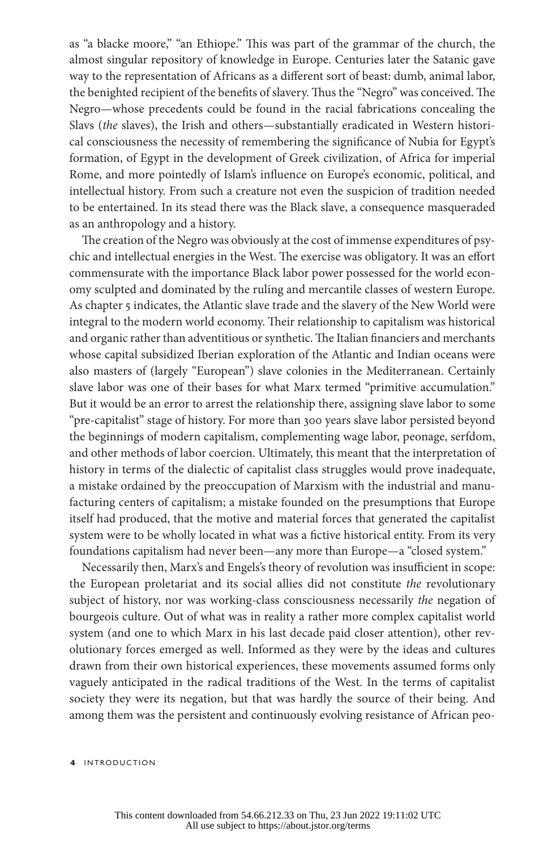as "a blacke moore," "an Ethiope." This was part of the grammar of the church, the almost singular repository of knowledge in Europe. Centuries later the Satanic gave way to the representation of Africans as a different sort of beast: dumb, animal labor, the benighted recipient of the benefits of slavery. Thus the "Negro" was conceived. The Negro—whose precedents could be found in the racial fabrications concealing the Slavs (*the* slaves), the Irish and others—substantially eradicated in Western historical consciousness the necessity of remembering the significance of Nubia for Egypt's formation, of Egypt in the development of Greek civilization, of Africa for imperial Rome, and more pointedly of Islam's influence on Europe's economic, political, and intellectual history. From such a creature not even the suspicion of tradition needed to be entertained. In its stead there was the Black slave, a consequence masqueraded as an anthropology and a history.

The creation of the Negro was obviously at the cost of immense expenditures of psychic and intellectual energies in the West. The exercise was obligatory. It was an effort commensurate with the importance Black labor power possessed for the world economy sculpted and dominated by the ruling and mercantile classes of western Europe. As chapter 5 indicates, the Atlantic slave trade and the slavery of the New World were integral to the modern world economy. Their relationship to capitalism was historical and organic rather than adventitious or synthetic. The Italian financiers and merchants whose capital subsidized Iberian exploration of the Atlantic and Indian oceans were also masters of (largely "European") slave colonies in the Mediterranean. Certainly slave labor was one of their bases for what Marx termed "primitive accumulation." But it would be an error to arrest the relationship there, assigning slave labor to some "pre-capitalist" stage of history. For more than 300 years slave labor persisted beyond the beginnings of modern capitalism, complementing wage labor, peonage, serfdom, and other methods of labor coercion. Ultimately, this meant that the interpretation of history in terms of the dialectic of capitalist class struggles would prove inadequate, a mistake ordained by the preoccupation of Marxism with the industrial and manufacturing centers of capitalism; a mistake founded on the presumptions that Europe itself had produced, that the motive and material forces that generated the capitalist system were to be wholly located in what was a fictive historical entity. From its very foundations capitalism had never been—any more than Europe—a "closed system."

Necessarily then, Marx's and Engels's theory of revolution was insufficient in scope: the European proletariat and its social allies did not constitute *the* revolutionary subject of history, nor was working-class consciousness necessarily *the* negation of bourgeois culture. Out of what was in reality a rather more complex capitalist world system (and one to which Marx in his last decade paid closer attention), other revolutionary forces emerged as well. Informed as they were by the ideas and cultures drawn from their own historical experiences, these movements assumed forms only vaguely anticipated in the radical traditions of the West. In the terms of capitalist society they were its negation, but that was hardly the source of their being. And among them was the persistent and continuously evolving resistance of African peo-

#### **4** INTRODUCTION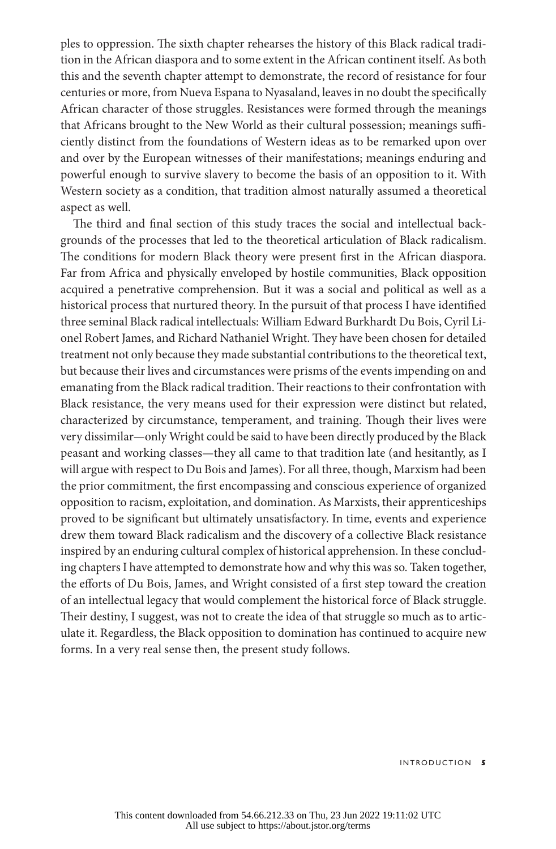ples to oppression. The sixth chapter rehearses the history of this Black radical tradition in the African diaspora and to some extent in the African continent itself. As both this and the seventh chapter attempt to demonstrate, the record of resistance for four centuries or more, from Nueva Espana to Nyasaland, leaves in no doubt the specifically African character of those struggles. Resistances were formed through the meanings that Africans brought to the New World as their cultural possession; meanings sufficiently distinct from the foundations of Western ideas as to be remarked upon over and over by the European witnesses of their manifestations; meanings enduring and powerful enough to survive slavery to become the basis of an opposition to it. With Western society as a condition, that tradition almost naturally assumed a theoretical aspect as well.

The third and final section of this study traces the social and intellectual backgrounds of the processes that led to the theoretical articulation of Black radicalism. The conditions for modern Black theory were present first in the African diaspora. Far from Africa and physically enveloped by hostile communities, Black opposition acquired a penetrative comprehension. But it was a social and political as well as a historical process that nurtured theory. In the pursuit of that process I have identified three seminal Black radical intellectuals: William Edward Burkhardt Du Bois, Cyril Lionel Robert James, and Richard Nathaniel Wright. They have been chosen for detailed treatment not only because they made substantial contributions to the theoretical text, but because their lives and circumstances were prisms of the events impending on and emanating from the Black radical tradition. Their reactions to their confrontation with Black resistance, the very means used for their expression were distinct but related, characterized by circumstance, temperament, and training. Though their lives were very dissimilar—only Wright could be said to have been directly produced by the Black peasant and working classes—they all came to that tradition late (and hesitantly, as I will argue with respect to Du Bois and James). For all three, though, Marxism had been the prior commitment, the first encompassing and conscious experience of organized opposition to racism, exploitation, and domination. As Marxists, their apprenticeships proved to be significant but ultimately unsatisfactory. In time, events and experience drew them toward Black radicalism and the discovery of a collective Black resistance inspired by an enduring cultural complex of historical apprehension. In these concluding chapters I have attempted to demonstrate how and why this was so. Taken together, the efforts of Du Bois, James, and Wright consisted of a first step toward the creation of an intellectual legacy that would complement the historical force of Black struggle. Their destiny, I suggest, was not to create the idea of that struggle so much as to articulate it. Regardless, the Black opposition to domination has continued to acquire new forms. In a very real sense then, the present study follows.

I ntroduction **5**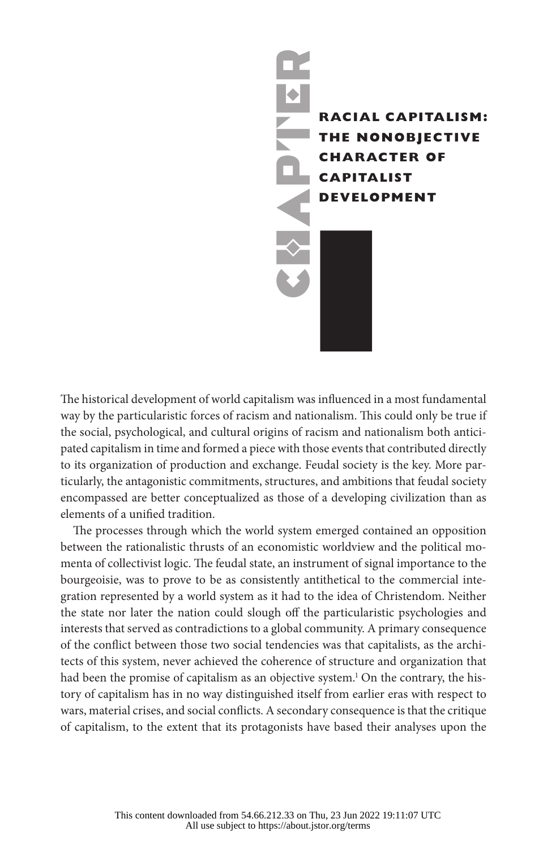RACIAL CAPITALISM:<br>
THE NONOBJECTIVE<br>
CHARACTER OF<br>
CAPITALIST<br>
DEVELOPMENT **THE NONOBJECTIVE CHARACTER OF CAPITALIST DEVELOPMENT** 1

The historical development of world capitalism was influenced in a most fundamental way by the particularistic forces of racism and nationalism. This could only be true if the social, psychological, and cultural origins of racism and nationalism both anticipated capitalism in time and formed a piece with those events that contributed directly to its organization of production and exchange. Feudal society is the key. More particularly, the antagonistic commitments, structures, and ambitions that feudal society encompassed are better conceptualized as those of a developing civilization than as elements of a unified tradition.

The processes through which the world system emerged contained an opposition between the rationalistic thrusts of an economistic worldview and the political momenta of collectivist logic. The feudal state, an instrument of signal importance to the bourgeoisie, was to prove to be as consistently antithetical to the commercial integration represented by a world system as it had to the idea of Christendom. Neither the state nor later the nation could slough off the particularistic psychologies and interests that served as contradictions to a global community. A primary consequence of the conflict between those two social tendencies was that capitalists, as the architects of this system, never achieved the coherence of structure and organization that had been the promise of capitalism as an objective system.<sup>1</sup> On the contrary, the history of capitalism has in no way distinguished itself from earlier eras with respect to wars, material crises, and social conflicts. A secondary consequence is that the critique of capitalism, to the extent that its protagonists have based their analyses upon the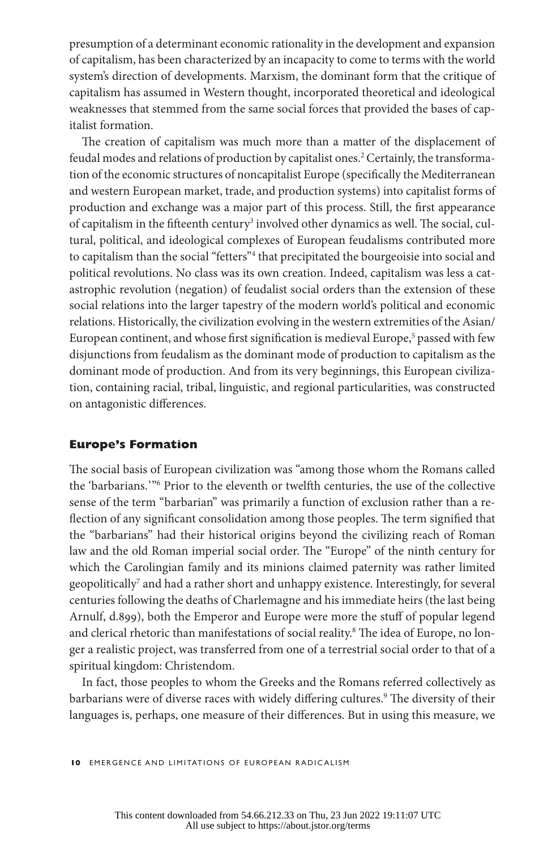presumption of a determinant economic rationality in the development and expansion of capitalism, has been characterized by an incapacity to come to terms with the world system's direction of developments. Marxism, the dominant form that the critique of capitalism has assumed in Western thought, incorporated theoretical and ideological weaknesses that stemmed from the same social forces that provided the bases of capitalist formation.

The creation of capitalism was much more than a matter of the displacement of feudal modes and relations of production by capitalist ones.<sup>2</sup> Certainly, the transformation of the economic structures of noncapitalist Europe (specifically the Mediterranean and western European market, trade, and production systems) into capitalist forms of production and exchange was a major part of this process. Still, the first appearance of capitalism in the fifteenth century<sup>3</sup> involved other dynamics as well. The social, cultural, political, and ideological complexes of European feudalisms contributed more to capitalism than the social "fetters"<sup>4</sup> that precipitated the bourgeoisie into social and political revolutions. No class was its own creation. Indeed, capitalism was less a catastrophic revolution (negation) of feudalist social orders than the extension of these social relations into the larger tapestry of the modern world's political and economic relations. Historically, the civilization evolving in the western extremities of the Asian/ European continent, and whose first signification is medieval Europe,<sup>5</sup> passed with few disjunctions from feudalism as the dominant mode of production to capitalism as the dominant mode of production. And from its very beginnings, this European civilization, containing racial, tribal, linguistic, and regional particularities, was constructed on antagonistic differences.

### **Europe's Formation**

The social basis of European civilization was "among those whom the Romans called the 'barbarians.'"6 Prior to the eleventh or twelfth centuries, the use of the collective sense of the term "barbarian" was primarily a function of exclusion rather than a reflection of any significant consolidation among those peoples. The term signified that the "barbarians" had their historical origins beyond the civilizing reach of Roman law and the old Roman imperial social order. The "Europe" of the ninth century for which the Carolingian family and its minions claimed paternity was rather limited geopolitically<sup>7</sup> and had a rather short and unhappy existence. Interestingly, for several centuries following the deaths of Charlemagne and his immediate heirs (the last being Arnulf, d.899), both the Emperor and Europe were more the stuff of popular legend and clerical rhetoric than manifestations of social reality.<sup>8</sup> The idea of Europe, no longer a realistic project, was transferred from one of a terrestrial social order to that of a spiritual kingdom: Christendom.

In fact, those peoples to whom the Greeks and the Romans referred collectively as barbarians were of diverse races with widely differing cultures.<sup>9</sup> The diversity of their languages is, perhaps, one measure of their differences. But in using this measure, we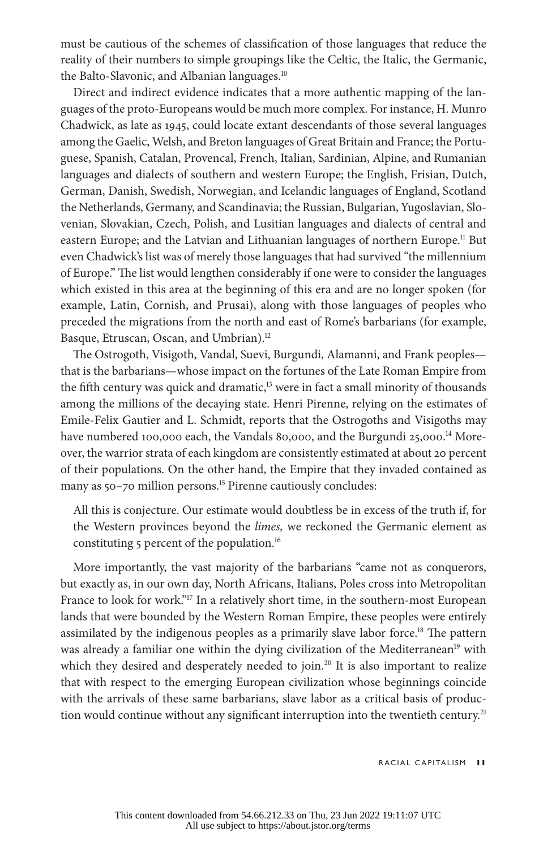must be cautious of the schemes of classification of those languages that reduce the reality of their numbers to simple groupings like the Celtic, the Italic, the Germanic, the Balto-Slavonic, and Albanian languages.<sup>10</sup>

Direct and indirect evidence indicates that a more authentic mapping of the languages of the proto-Europeans would be much more complex. For instance, H. Munro Chadwick, as late as 1945, could locate extant descendants of those several languages among the Gaelic, Welsh, and Breton languages of Great Britain and France; the Portuguese, Spanish, Catalan, Provencal, French, Italian, Sardinian, Alpine, and Rumanian languages and dialects of southern and western Europe; the English, Frisian, Dutch, German, Danish, Swedish, Norwegian, and Icelandic languages of England, Scotland the Netherlands, Germany, and Scandinavia; the Russian, Bulgarian, Yugoslavian, Slovenian, Slovakian, Czech, Polish, and Lusitian languages and dialects of central and eastern Europe; and the Latvian and Lithuanian languages of northern Europe.<sup>11</sup> But even Chadwick's list was of merely those languages that had survived "the millennium of Europe." The list would lengthen considerably if one were to consider the languages which existed in this area at the beginning of this era and are no longer spoken (for example, Latin, Cornish, and Prusai), along with those languages of peoples who preceded the migrations from the north and east of Rome's barbarians (for example, Basque, Etruscan, Oscan, and Umbrian).<sup>12</sup>

The Ostrogoth, Visigoth, Vandal, Suevi, Burgundi, Alamanni, and Frank peoples that is the barbarians—whose impact on the fortunes of the Late Roman Empire from the fifth century was quick and dramatic,<sup>13</sup> were in fact a small minority of thousands among the millions of the decaying state. Henri Pirenne, relying on the estimates of Emile-Felix Gautier and L. Schmidt, reports that the Ostrogoths and Visigoths may have numbered 100,000 each, the Vandals 80,000, and the Burgundi 25,000.<sup>14</sup> Moreover, the warrior strata of each kingdom are consistently estimated at about 20 percent of their populations. On the other hand, the Empire that they invaded contained as many as 50–70 million persons.<sup>15</sup> Pirenne cautiously concludes:

All this is conjecture. Our estimate would doubtless be in excess of the truth if, for the Western provinces beyond the *limes,* we reckoned the Germanic element as constituting 5 percent of the population.<sup>16</sup>

More importantly, the vast majority of the barbarians "came not as conquerors, but exactly as, in our own day, North Africans, Italians, Poles cross into Metropolitan France to look for work."<sup>17</sup> In a relatively short time, in the southern-most European lands that were bounded by the Western Roman Empire, these peoples were entirely assimilated by the indigenous peoples as a primarily slave labor force.<sup>18</sup> The pattern was already a familiar one within the dying civilization of the Mediterranean<sup>19</sup> with which they desired and desperately needed to join.<sup>20</sup> It is also important to realize that with respect to the emerging European civilization whose beginnings coincide with the arrivals of these same barbarians, slave labor as a critical basis of production would continue without any significant interruption into the twentieth century.<sup>21</sup>

RACIAL CAPITALISM **11**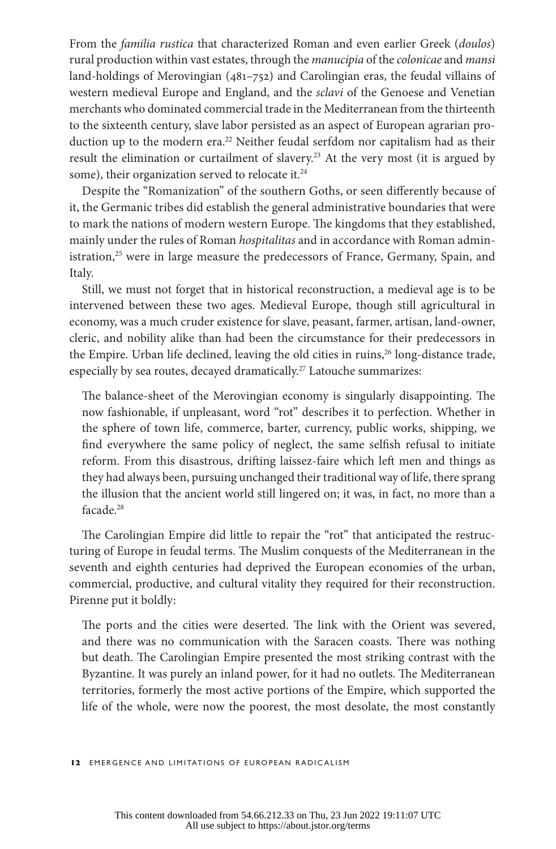From the *familia rustica* that characterized Roman and even earlier Greek (*doulos*) rural production within vast estates, through the *manucipia* of the *colonicae* and *mansi* land-holdings of Merovingian (481–752) and Carolingian eras, the feudal villains of western medieval Europe and England, and the *sclavi* of the Genoese and Venetian merchants who dominated commercial trade in the Mediterranean from the thirteenth to the sixteenth century, slave labor persisted as an aspect of European agrarian production up to the modern era.<sup>22</sup> Neither feudal serfdom nor capitalism had as their result the elimination or curtailment of slavery.23 At the very most (it is argued by some), their organization served to relocate it.<sup>24</sup>

Despite the "Romanization" of the southern Goths, or seen differently because of it, the Germanic tribes did establish the general administrative boundaries that were to mark the nations of modern western Europe. The kingdoms that they established, mainly under the rules of Roman *hospitalitas* and in accordance with Roman administration,<sup>25</sup> were in large measure the predecessors of France, Germany, Spain, and Italy.

Still, we must not forget that in historical reconstruction, a medieval age is to be intervened between these two ages. Medieval Europe, though still agricultural in economy, was a much cruder existence for slave, peasant, farmer, artisan, land-owner, cleric, and nobility alike than had been the circumstance for their predecessors in the Empire. Urban life declined, leaving the old cities in ruins,<sup>26</sup> long-distance trade, especially by sea routes, decayed dramatically.<sup>27</sup> Latouche summarizes:

The balance-sheet of the Merovingian economy is singularly disappointing. The now fashionable, if unpleasant, word "rot" describes it to perfection. Whether in the sphere of town life, commerce, barter, currency, public works, shipping, we find everywhere the same policy of neglect, the same selfish refusal to initiate reform. From this disastrous, drifting laissez-faire which left men and things as they had always been, pursuing unchanged their traditional way of life, there sprang the illusion that the ancient world still lingered on; it was, in fact, no more than a facade.28

The Carolingian Empire did little to repair the "rot" that anticipated the restructuring of Europe in feudal terms. The Muslim conquests of the Mediterranean in the seventh and eighth centuries had deprived the European economies of the urban, commercial, productive, and cultural vitality they required for their reconstruction. Pirenne put it boldly:

The ports and the cities were deserted. The link with the Orient was severed, and there was no communication with the Saracen coasts. There was nothing but death. The Carolingian Empire presented the most striking contrast with the Byzantine. It was purely an inland power, for it had no outlets. The Mediterranean territories, formerly the most active portions of the Empire, which supported the life of the whole, were now the poorest, the most desolate, the most constantly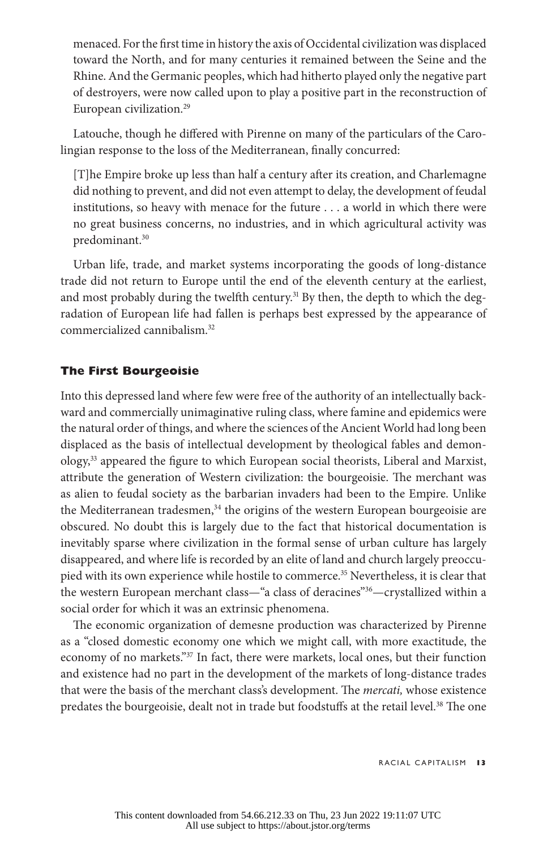menaced. For the first time in history the axis of Occidental civilization was displaced toward the North, and for many centuries it remained between the Seine and the Rhine. And the Germanic peoples, which had hitherto played only the negative part of destroyers, were now called upon to play a positive part in the reconstruction of European civilization.29

Latouche, though he differed with Pirenne on many of the particulars of the Carolingian response to the loss of the Mediterranean, finally concurred:

[T]he Empire broke up less than half a century after its creation, and Charlemagne did nothing to prevent, and did not even attempt to delay, the development of feudal institutions, so heavy with menace for the future . . . a world in which there were no great business concerns, no industries, and in which agricultural activity was predominant.<sup>30</sup>

Urban life, trade, and market systems incorporating the goods of long-distance trade did not return to Europe until the end of the eleventh century at the earliest, and most probably during the twelfth century.<sup>31</sup> By then, the depth to which the degradation of European life had fallen is perhaps best expressed by the appearance of commercialized cannibalism.32

## **The First Bourgeoisie**

Into this depressed land where few were free of the authority of an intellectually backward and commercially unimaginative ruling class, where famine and epidemics were the natural order of things, and where the sciences of the Ancient World had long been displaced as the basis of intellectual development by theological fables and demonology,33 appeared the figure to which European social theorists, Liberal and Marxist, attribute the generation of Western civilization: the bourgeoisie. The merchant was as alien to feudal society as the barbarian invaders had been to the Empire. Unlike the Mediterranean tradesmen, $34$  the origins of the western European bourgeoisie are obscured. No doubt this is largely due to the fact that historical documentation is inevitably sparse where civilization in the formal sense of urban culture has largely disappeared, and where life is recorded by an elite of land and church largely preoccupied with its own experience while hostile to commerce.<sup>35</sup> Nevertheless, it is clear that the western European merchant class—"a class of deracines"<sup>36</sup>—crystallized within a social order for which it was an extrinsic phenomena.

The economic organization of demesne production was characterized by Pirenne as a "closed domestic economy one which we might call, with more exactitude, the economy of no markets."37 In fact, there were markets, local ones, but their function and existence had no part in the development of the markets of long-distance trades that were the basis of the merchant class's development. The *mercati,* whose existence predates the bourgeoisie, dealt not in trade but foodstuffs at the retail level.<sup>38</sup> The one

RACIAL CAPITALISM **13**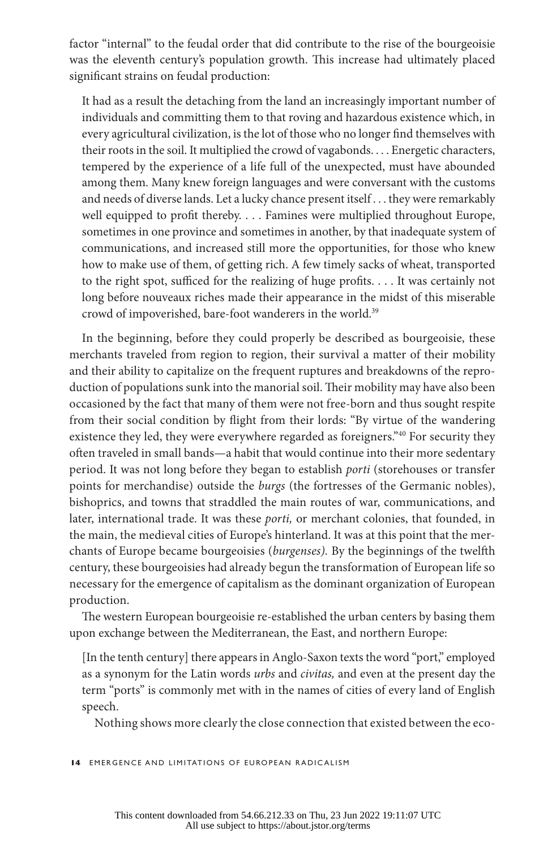factor "internal" to the feudal order that did contribute to the rise of the bourgeoisie was the eleventh century's population growth. This increase had ultimately placed significant strains on feudal production:

It had as a result the detaching from the land an increasingly important number of individuals and committing them to that roving and hazardous existence which, in every agricultural civilization, is the lot of those who no longer find themselves with their roots in the soil. It multiplied the crowd of vagabonds. . . . Energetic characters, tempered by the experience of a life full of the unexpected, must have abounded among them. Many knew foreign languages and were conversant with the customs and needs of diverse lands. Let a lucky chance present itself . . . they were remarkably well equipped to profit thereby. . . . Famines were multiplied throughout Europe, sometimes in one province and sometimes in another, by that inadequate system of communications, and increased still more the opportunities, for those who knew how to make use of them, of getting rich. A few timely sacks of wheat, transported to the right spot, sufficed for the realizing of huge profits. . . . It was certainly not long before nouveaux riches made their appearance in the midst of this miserable crowd of impoverished, bare-foot wanderers in the world.<sup>39</sup>

In the beginning, before they could properly be described as bourgeoisie, these merchants traveled from region to region, their survival a matter of their mobility and their ability to capitalize on the frequent ruptures and breakdowns of the reproduction of populations sunk into the manorial soil. Their mobility may have also been occasioned by the fact that many of them were not free-born and thus sought respite from their social condition by flight from their lords: "By virtue of the wandering existence they led, they were everywhere regarded as foreigners."40 For security they often traveled in small bands—a habit that would continue into their more sedentary period. It was not long before they began to establish *porti* (storehouses or transfer points for merchandise) outside the *burgs* (the fortresses of the Germanic nobles), bishoprics, and towns that straddled the main routes of war, communications, and later, international trade. It was these *porti,* or merchant colonies, that founded, in the main, the medieval cities of Europe's hinterland. It was at this point that the merchants of Europe became bourgeoisies (*burgenses).* By the beginnings of the twelfth century, these bourgeoisies had already begun the transformation of European life so necessary for the emergence of capitalism as the dominant organization of European production.

The western European bourgeoisie re-established the urban centers by basing them upon exchange between the Mediterranean, the East, and northern Europe:

[In the tenth century] there appears in Anglo-Saxon texts the word "port," employed as a synonym for the Latin words *urbs* and *civitas,* and even at the present day the term "ports" is commonly met with in the names of cities of every land of English speech.

Nothing shows more clearly the close connection that existed between the eco-

**14** EMERGENCE AND LIMITATIONS OF EUROPEAN RADICALISM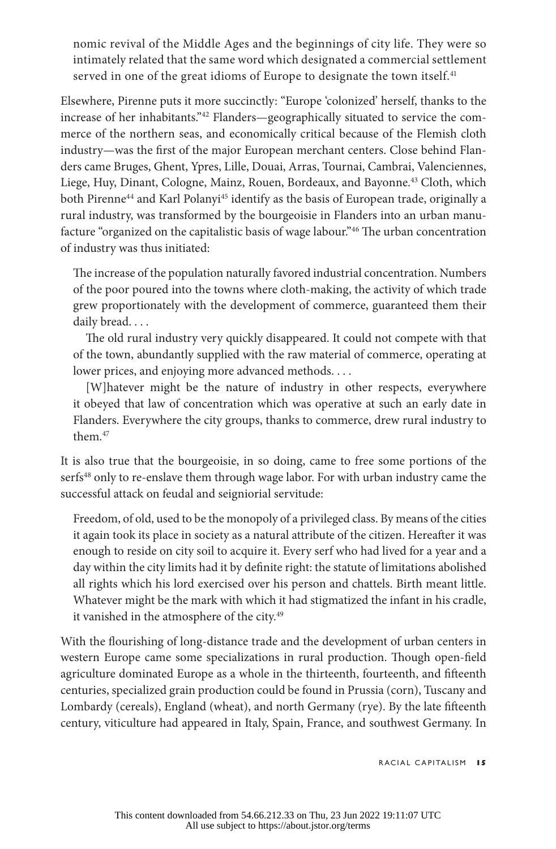nomic revival of the Middle Ages and the beginnings of city life. They were so intimately related that the same word which designated a commercial settlement served in one of the great idioms of Europe to designate the town itself.<sup>41</sup>

Elsewhere, Pirenne puts it more succinctly: "Europe 'colonized' herself, thanks to the increase of her inhabitants."42 Flanders—geographically situated to service the commerce of the northern seas, and economically critical because of the Flemish cloth industry—was the first of the major European merchant centers. Close behind Flanders came Bruges, Ghent, Ypres, Lille, Douai, Arras, Tournai, Cambrai, Valenciennes, Liege, Huy, Dinant, Cologne, Mainz, Rouen, Bordeaux, and Bayonne.43 Cloth, which both Pirenne<sup>44</sup> and Karl Polanyi<sup>45</sup> identify as the basis of European trade, originally a rural industry, was transformed by the bourgeoisie in Flanders into an urban manufacture "organized on the capitalistic basis of wage labour."46 The urban concentration of industry was thus initiated:

The increase of the population naturally favored industrial concentration. Numbers of the poor poured into the towns where cloth-making, the activity of which trade grew proportionately with the development of commerce, guaranteed them their daily bread. . . .

The old rural industry very quickly disappeared. It could not compete with that of the town, abundantly supplied with the raw material of commerce, operating at lower prices, and enjoying more advanced methods. . . .

[W]hatever might be the nature of industry in other respects, everywhere it obeyed that law of concentration which was operative at such an early date in Flanders. Everywhere the city groups, thanks to commerce, drew rural industry to them.47

It is also true that the bourgeoisie, in so doing, came to free some portions of the serfs<sup>48</sup> only to re-enslave them through wage labor. For with urban industry came the successful attack on feudal and seigniorial servitude:

Freedom, of old, used to be the monopoly of a privileged class. By means of the cities it again took its place in society as a natural attribute of the citizen. Hereafter it was enough to reside on city soil to acquire it. Every serf who had lived for a year and a day within the city limits had it by definite right: the statute of limitations abolished all rights which his lord exercised over his person and chattels. Birth meant little. Whatever might be the mark with which it had stigmatized the infant in his cradle, it vanished in the atmosphere of the city.<sup>49</sup>

With the flourishing of long-distance trade and the development of urban centers in western Europe came some specializations in rural production. Though open-field agriculture dominated Europe as a whole in the thirteenth, fourteenth, and fifteenth centuries, specialized grain production could be found in Prussia (corn), Tuscany and Lombardy (cereals), England (wheat), and north Germany (rye). By the late fifteenth century, viticulture had appeared in Italy, Spain, France, and southwest Germany. In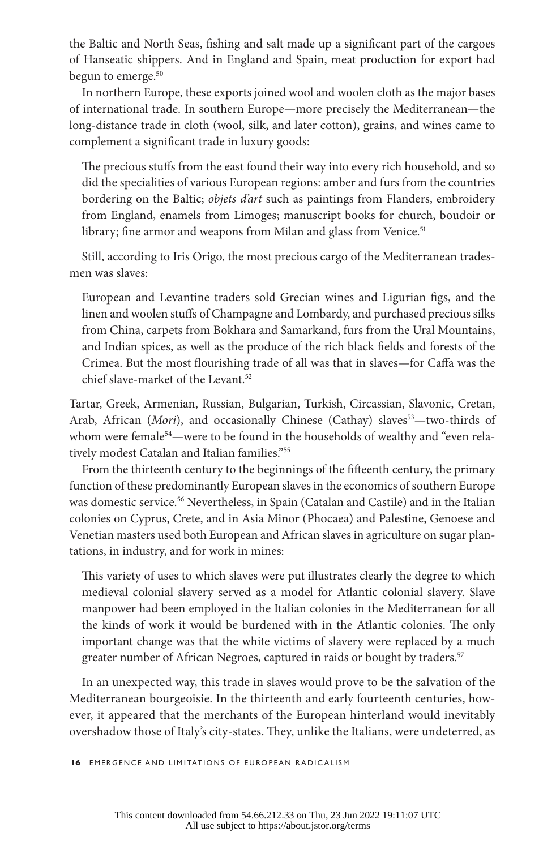the Baltic and North Seas, fishing and salt made up a significant part of the cargoes of Hanseatic shippers. And in England and Spain, meat production for export had begun to emerge.<sup>50</sup>

In northern Europe, these exports joined wool and woolen cloth as the major bases of international trade. In southern Europe—more precisely the Mediterranean—the long-distance trade in cloth (wool, silk, and later cotton), grains, and wines came to complement a significant trade in luxury goods:

The precious stuffs from the east found their way into every rich household, and so did the specialities of various European regions: amber and furs from the countries bordering on the Baltic; *objets d'art* such as paintings from Flanders, embroidery from England, enamels from Limoges; manuscript books for church, boudoir or library; fine armor and weapons from Milan and glass from Venice.<sup>51</sup>

Still, according to Iris Origo, the most precious cargo of the Mediterranean tradesmen was slaves:

European and Levantine traders sold Grecian wines and Ligurian figs, and the linen and woolen stuffs of Champagne and Lombardy, and purchased precious silks from China, carpets from Bokhara and Samarkand, furs from the Ural Mountains, and Indian spices, as well as the produce of the rich black fields and forests of the Crimea. But the most flourishing trade of all was that in slaves—for Caffa was the chief slave-market of the Levant.<sup>52</sup>

Tartar, Greek, Armenian, Russian, Bulgarian, Turkish, Circassian, Slavonic, Cretan, Arab, African (*Mori*), and occasionally Chinese (Cathay) slaves<sup>53</sup>—two-thirds of whom were female<sup>54</sup>—were to be found in the households of wealthy and "even relatively modest Catalan and Italian families."55

From the thirteenth century to the beginnings of the fifteenth century, the primary function of these predominantly European slaves in the economics of southern Europe was domestic service.<sup>56</sup> Nevertheless, in Spain (Catalan and Castile) and in the Italian colonies on Cyprus, Crete, and in Asia Minor (Phocaea) and Palestine, Genoese and Venetian masters used both European and African slaves in agriculture on sugar plantations, in industry, and for work in mines:

This variety of uses to which slaves were put illustrates clearly the degree to which medieval colonial slavery served as a model for Atlantic colonial slavery. Slave manpower had been employed in the Italian colonies in the Mediterranean for all the kinds of work it would be burdened with in the Atlantic colonies. The only important change was that the white victims of slavery were replaced by a much greater number of African Negroes, captured in raids or bought by traders.<sup>57</sup>

In an unexpected way, this trade in slaves would prove to be the salvation of the Mediterranean bourgeoisie. In the thirteenth and early fourteenth centuries, however, it appeared that the merchants of the European hinterland would inevitably overshadow those of Italy's city-states. They, unlike the Italians, were undeterred, as

**16** EMERGENCE AND LIMITATIONS OF EUROPEAN RADICALISM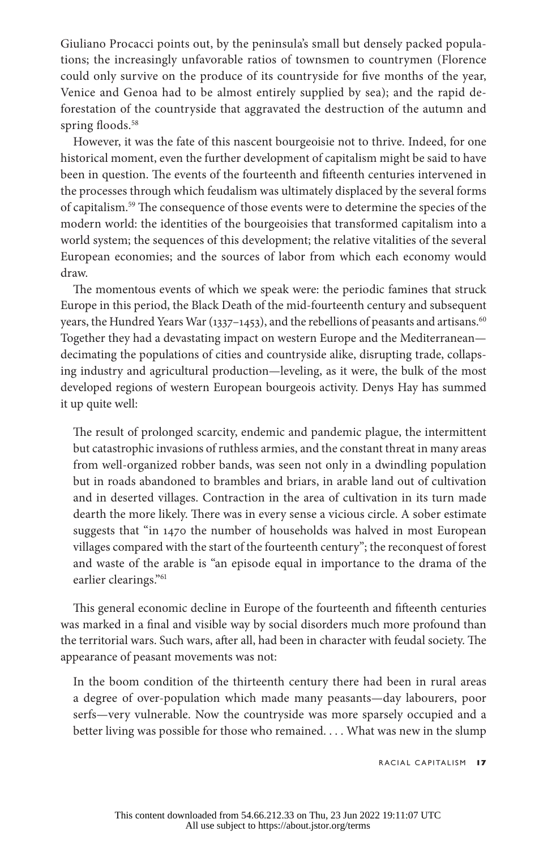Giuliano Procacci points out, by the peninsula's small but densely packed populations; the increasingly unfavorable ratios of townsmen to countrymen (Florence could only survive on the produce of its countryside for five months of the year, Venice and Genoa had to be almost entirely supplied by sea); and the rapid deforestation of the countryside that aggravated the destruction of the autumn and spring floods.<sup>58</sup>

However, it was the fate of this nascent bourgeoisie not to thrive. Indeed, for one historical moment, even the further development of capitalism might be said to have been in question. The events of the fourteenth and fifteenth centuries intervened in the processes through which feudalism was ultimately displaced by the several forms of capitalism.59 The consequence of those events were to determine the species of the modern world: the identities of the bourgeoisies that transformed capitalism into a world system; the sequences of this development; the relative vitalities of the several European economies; and the sources of labor from which each economy would draw.

The momentous events of which we speak were: the periodic famines that struck Europe in this period, the Black Death of the mid-fourteenth century and subsequent years, the Hundred Years War (1337–1453), and the rebellions of peasants and artisans. $60$ Together they had a devastating impact on western Europe and the Mediterranean decimating the populations of cities and countryside alike, disrupting trade, collapsing industry and agricultural production—leveling, as it were, the bulk of the most developed regions of western European bourgeois activity. Denys Hay has summed it up quite well:

The result of prolonged scarcity, endemic and pandemic plague, the intermittent but catastrophic invasions of ruthless armies, and the constant threat in many areas from well-organized robber bands, was seen not only in a dwindling population but in roads abandoned to brambles and briars, in arable land out of cultivation and in deserted villages. Contraction in the area of cultivation in its turn made dearth the more likely. There was in every sense a vicious circle. A sober estimate suggests that "in 1470 the number of households was halved in most European villages compared with the start of the fourteenth century"; the reconquest of forest and waste of the arable is "an episode equal in importance to the drama of the earlier clearings."61

This general economic decline in Europe of the fourteenth and fifteenth centuries was marked in a final and visible way by social disorders much more profound than the territorial wars. Such wars, after all, had been in character with feudal society. The appearance of peasant movements was not:

In the boom condition of the thirteenth century there had been in rural areas a degree of over-population which made many peasants—day labourers, poor serfs—very vulnerable. Now the countryside was more sparsely occupied and a better living was possible for those who remained. . . . What was new in the slump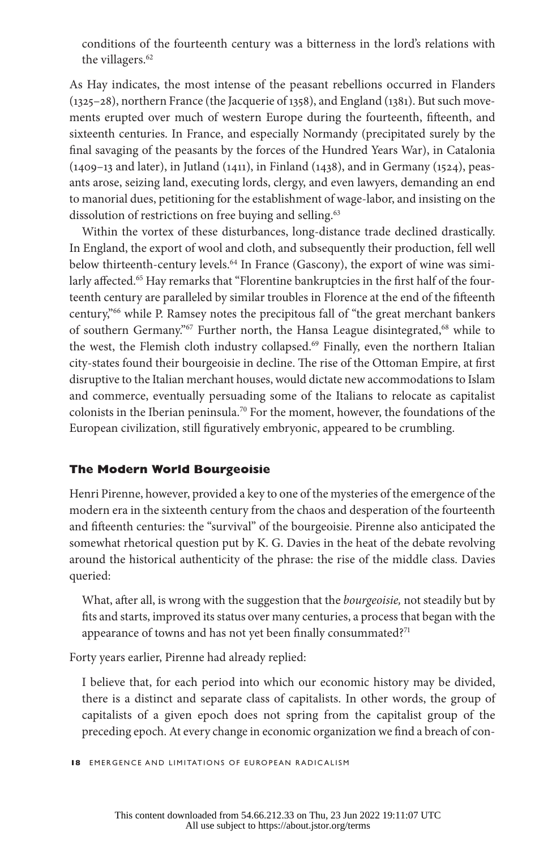conditions of the fourteenth century was a bitterness in the lord's relations with the villagers.<sup>62</sup>

As Hay indicates, the most intense of the peasant rebellions occurred in Flanders (1325–28), northern France (the Jacquerie of 1358), and England (1381). But such movements erupted over much of western Europe during the fourteenth, fifteenth, and sixteenth centuries. In France, and especially Normandy (precipitated surely by the final savaging of the peasants by the forces of the Hundred Years War), in Catalonia (1409–13 and later), in Jutland (1411), in Finland (1438), and in Germany (1524), peasants arose, seizing land, executing lords, clergy, and even lawyers, demanding an end to manorial dues, petitioning for the establishment of wage-labor, and insisting on the dissolution of restrictions on free buying and selling.<sup>63</sup>

Within the vortex of these disturbances, long-distance trade declined drastically. In England, the export of wool and cloth, and subsequently their production, fell well below thirteenth-century levels.<sup>64</sup> In France (Gascony), the export of wine was similarly affected.<sup>65</sup> Hay remarks that "Florentine bankruptcies in the first half of the fourteenth century are paralleled by similar troubles in Florence at the end of the fifteenth century,"66 while P. Ramsey notes the precipitous fall of "the great merchant bankers of southern Germany."<sup>67</sup> Further north, the Hansa League disintegrated,<sup>68</sup> while to the west, the Flemish cloth industry collapsed.<sup>69</sup> Finally, even the northern Italian city-states found their bourgeoisie in decline. The rise of the Ottoman Empire, at first disruptive to the Italian merchant houses, would dictate new accommodations to Islam and commerce, eventually persuading some of the Italians to relocate as capitalist colonists in the Iberian peninsula.70 For the moment, however, the foundations of the European civilization, still figuratively embryonic, appeared to be crumbling.

## **The Modern World Bourgeoisie**

Henri Pirenne, however, provided a key to one of the mysteries of the emergence of the modern era in the sixteenth century from the chaos and desperation of the fourteenth and fifteenth centuries: the "survival" of the bourgeoisie. Pirenne also anticipated the somewhat rhetorical question put by K. G. Davies in the heat of the debate revolving around the historical authenticity of the phrase: the rise of the middle class. Davies queried:

What, after all, is wrong with the suggestion that the *bourgeoisie,* not steadily but by fits and starts, improved its status over many centuries, a process that began with the appearance of towns and has not yet been finally consummated?<sup>71</sup>

Forty years earlier, Pirenne had already replied:

I believe that, for each period into which our economic history may be divided, there is a distinct and separate class of capitalists. In other words, the group of capitalists of a given epoch does not spring from the capitalist group of the preceding epoch. At every change in economic organization we find a breach of con-

**18** EMERGENCE AND LIMITATIONS OF EUROPEAN RADICALISM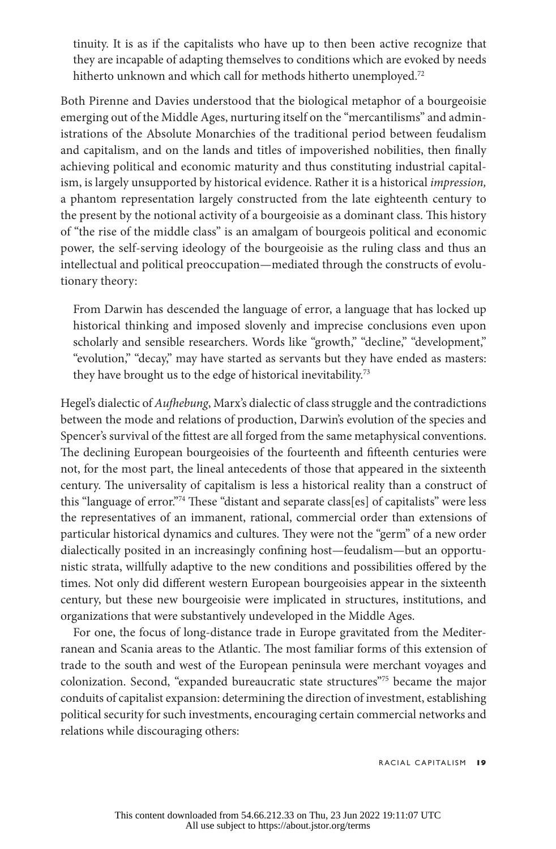tinuity. It is as if the capitalists who have up to then been active recognize that they are incapable of adapting themselves to conditions which are evoked by needs hitherto unknown and which call for methods hitherto unemployed.<sup>72</sup>

Both Pirenne and Davies understood that the biological metaphor of a bourgeoisie emerging out of the Middle Ages, nurturing itself on the "mercantilisms" and administrations of the Absolute Monarchies of the traditional period between feudalism and capitalism, and on the lands and titles of impoverished nobilities, then finally achieving political and economic maturity and thus constituting industrial capitalism, is largely unsupported by historical evidence. Rather it is a historical *impression,* a phantom representation largely constructed from the late eighteenth century to the present by the notional activity of a bourgeoisie as a dominant class. This history of "the rise of the middle class" is an amalgam of bourgeois political and economic power, the self-serving ideology of the bourgeoisie as the ruling class and thus an intellectual and political preoccupation—mediated through the constructs of evolutionary theory:

From Darwin has descended the language of error, a language that has locked up historical thinking and imposed slovenly and imprecise conclusions even upon scholarly and sensible researchers. Words like "growth," "decline," "development," "evolution," "decay," may have started as servants but they have ended as masters: they have brought us to the edge of historical inevitability.<sup>73</sup>

Hegel's dialectic of *Aufhebung*, Marx's dialectic of class struggle and the contradictions between the mode and relations of production, Darwin's evolution of the species and Spencer's survival of the fittest are all forged from the same metaphysical conventions. The declining European bourgeoisies of the fourteenth and fifteenth centuries were not, for the most part, the lineal antecedents of those that appeared in the sixteenth century. The universality of capitalism is less a historical reality than a construct of this "language of error."74 These "distant and separate class[es] of capitalists" were less the representatives of an immanent, rational, commercial order than extensions of particular historical dynamics and cultures. They were not the "germ" of a new order dialectically posited in an increasingly confining host—feudalism—but an opportunistic strata, willfully adaptive to the new conditions and possibilities offered by the times. Not only did different western European bourgeoisies appear in the sixteenth century, but these new bourgeoisie were implicated in structures, institutions, and organizations that were substantively undeveloped in the Middle Ages.

For one, the focus of long-distance trade in Europe gravitated from the Mediterranean and Scania areas to the Atlantic. The most familiar forms of this extension of trade to the south and west of the European peninsula were merchant voyages and colonization. Second, "expanded bureaucratic state structures"75 became the major conduits of capitalist expansion: determining the direction of investment, establishing political security for such investments, encouraging certain commercial networks and relations while discouraging others:

RACIAL CAPITALISM **19**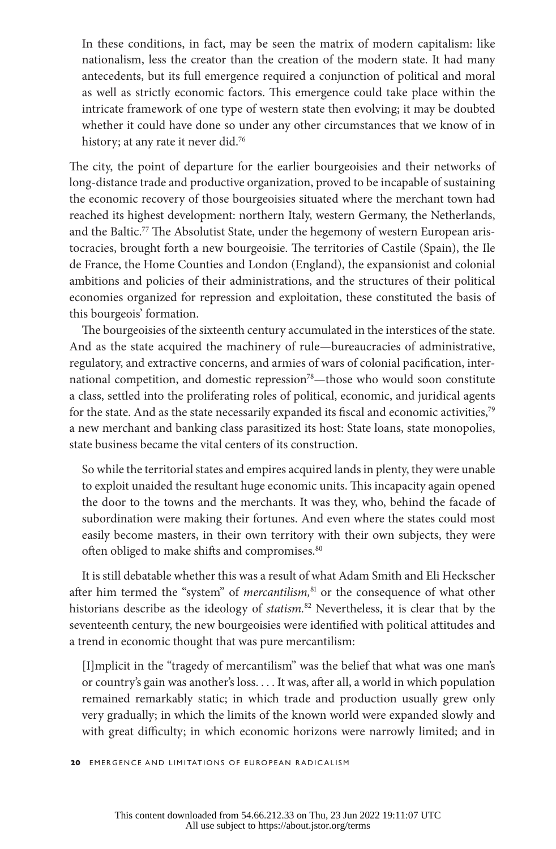In these conditions, in fact, may be seen the matrix of modern capitalism: like nationalism, less the creator than the creation of the modern state. It had many antecedents, but its full emergence required a conjunction of political and moral as well as strictly economic factors. This emergence could take place within the intricate framework of one type of western state then evolving; it may be doubted whether it could have done so under any other circumstances that we know of in history; at any rate it never did.<sup>76</sup>

The city, the point of departure for the earlier bourgeoisies and their networks of long-distance trade and productive organization, proved to be incapable of sustaining the economic recovery of those bourgeoisies situated where the merchant town had reached its highest development: northern Italy, western Germany, the Netherlands, and the Baltic.<sup>77</sup> The Absolutist State, under the hegemony of western European aristocracies, brought forth a new bourgeoisie. The territories of Castile (Spain), the Ile de France, the Home Counties and London (England), the expansionist and colonial ambitions and policies of their administrations, and the structures of their political economies organized for repression and exploitation, these constituted the basis of this bourgeois' formation.

The bourgeoisies of the sixteenth century accumulated in the interstices of the state. And as the state acquired the machinery of rule—bureaucracies of administrative, regulatory, and extractive concerns, and armies of wars of colonial pacification, international competition, and domestic repression<sup>78</sup>—those who would soon constitute a class, settled into the proliferating roles of political, economic, and juridical agents for the state. And as the state necessarily expanded its fiscal and economic activities,<sup>79</sup> a new merchant and banking class parasitized its host: State loans, state monopolies, state business became the vital centers of its construction.

So while the territorial states and empires acquired lands in plenty, they were unable to exploit unaided the resultant huge economic units. This incapacity again opened the door to the towns and the merchants. It was they, who, behind the facade of subordination were making their fortunes. And even where the states could most easily become masters, in their own territory with their own subjects, they were often obliged to make shifts and compromises.<sup>80</sup>

It is still debatable whether this was a result of what Adam Smith and Eli Heckscher after him termed the "system" of *mercantilism,*81 or the consequence of what other historians describe as the ideology of *statism.*82 Nevertheless, it is clear that by the seventeenth century, the new bourgeoisies were identified with political attitudes and a trend in economic thought that was pure mercantilism:

[I]mplicit in the "tragedy of mercantilism" was the belief that what was one man's or country's gain was another's loss. . . . It was, after all, a world in which population remained remarkably static; in which trade and production usually grew only very gradually; in which the limits of the known world were expanded slowly and with great difficulty; in which economic horizons were narrowly limited; and in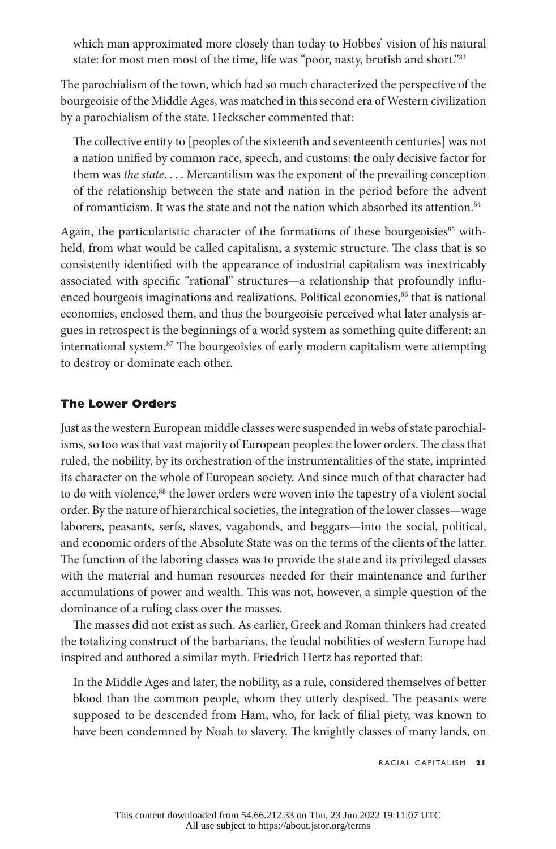which man approximated more closely than today to Hobbes' vision of his natural state: for most men most of the time, life was "poor, nasty, brutish and short."83

The parochialism of the town, which had so much characterized the perspective of the bourgeoisie of the Middle Ages, was matched in this second era of Western civilization by a parochialism of the state. Heckscher commented that:

The collective entity to [peoples of the sixteenth and seventeenth centuries] was not a nation unified by common race, speech, and customs: the only decisive factor for them was *the state*. . . . Mercantilism was the exponent of the prevailing conception of the relationship between the state and nation in the period before the advent of romanticism. It was the state and not the nation which absorbed its attention.84

Again, the particularistic character of the formations of these bourgeoisies<sup>85</sup> withheld, from what would be called capitalism, a systemic structure. The class that is so consistently identified with the appearance of industrial capitalism was inextricably associated with specific "rational" structures—a relationship that profoundly influenced bourgeois imaginations and realizations. Political economies,<sup>86</sup> that is national economies, enclosed them, and thus the bourgeoisie perceived what later analysis argues in retrospect is the beginnings of a world system as something quite different: an international system.<sup>87</sup> The bourgeoisies of early modern capitalism were attempting to destroy or dominate each other.

## **The Lower Orders**

Just as the western European middle classes were suspended in webs of state parochialisms, so too was that vast majority of European peoples: the lower orders. The class that ruled, the nobility, by its orchestration of the instrumentalities of the state, imprinted its character on the whole of European society. And since much of that character had to do with violence,<sup>88</sup> the lower orders were woven into the tapestry of a violent social order. By the nature of hierarchical societies, the integration of the lower classes—wage laborers, peasants, serfs, slaves, vagabonds, and beggars—into the social, political, and economic orders of the Absolute State was on the terms of the clients of the latter. The function of the laboring classes was to provide the state and its privileged classes with the material and human resources needed for their maintenance and further accumulations of power and wealth. This was not, however, a simple question of the dominance of a ruling class over the masses.

The masses did not exist as such. As earlier, Greek and Roman thinkers had created the totalizing construct of the barbarians, the feudal nobilities of western Europe had inspired and authored a similar myth. Friedrich Hertz has reported that:

In the Middle Ages and later, the nobility, as a rule, considered themselves of better blood than the common people, whom they utterly despised. The peasants were supposed to be descended from Ham, who, for lack of filial piety, was known to have been condemned by Noah to slavery. The knightly classes of many lands, on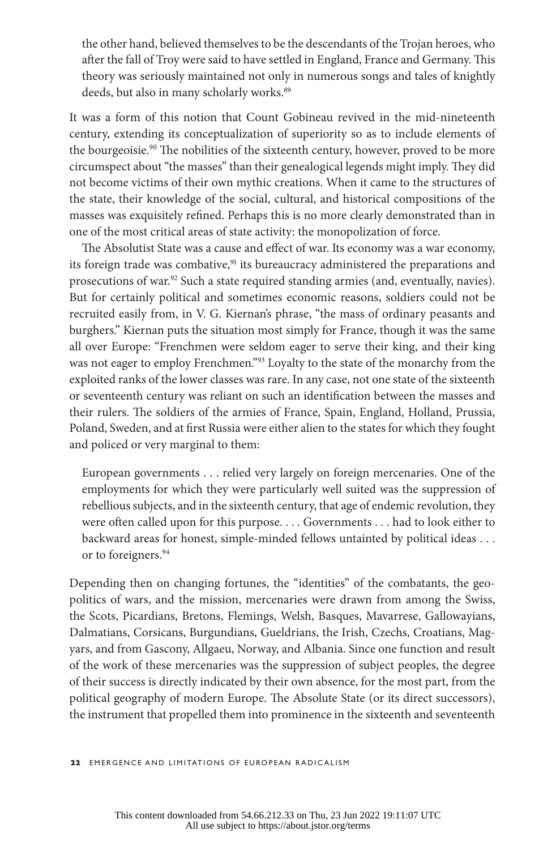the other hand, believed themselves to be the descendants of the Trojan heroes, who after the fall of Troy were said to have settled in England, France and Germany. This theory was seriously maintained not only in numerous songs and tales of knightly deeds, but also in many scholarly works.<sup>89</sup>

It was a form of this notion that Count Gobineau revived in the mid-nineteenth century, extending its conceptualization of superiority so as to include elements of the bourgeoisie.<sup>90</sup> The nobilities of the sixteenth century, however, proved to be more circumspect about "the masses" than their genealogical legends might imply. They did not become victims of their own mythic creations. When it came to the structures of the state, their knowledge of the social, cultural, and historical compositions of the masses was exquisitely refined. Perhaps this is no more clearly demonstrated than in one of the most critical areas of state activity: the monopolization of force.

The Absolutist State was a cause and effect of war. Its economy was a war economy, its foreign trade was combative,<sup>91</sup> its bureaucracy administered the preparations and prosecutions of war.<sup>92</sup> Such a state required standing armies (and, eventually, navies). But for certainly political and sometimes economic reasons, soldiers could not be recruited easily from, in V. G. Kiernan's phrase, "the mass of ordinary peasants and burghers." Kiernan puts the situation most simply for France, though it was the same all over Europe: "Frenchmen were seldom eager to serve their king, and their king was not eager to employ Frenchmen."93 Loyalty to the state of the monarchy from the exploited ranks of the lower classes was rare. In any case, not one state of the sixteenth or seventeenth century was reliant on such an identification between the masses and their rulers. The soldiers of the armies of France, Spain, England, Holland, Prussia, Poland, Sweden, and at first Russia were either alien to the states for which they fought and policed or very marginal to them:

European governments . . . relied very largely on foreign mercenaries. One of the employments for which they were particularly well suited was the suppression of rebellious subjects, and in the sixteenth century, that age of endemic revolution, they were often called upon for this purpose. . . . Governments . . . had to look either to backward areas for honest, simple-minded fellows untainted by political ideas . . . or to foreigners.<sup>94</sup>

Depending then on changing fortunes, the "identities" of the combatants, the geopolitics of wars, and the mission, mercenaries were drawn from among the Swiss, the Scots, Picardians, Bretons, Flemings, Welsh, Basques, Mavarrese, Gallowayians, Dalmatians, Corsicans, Burgundians, Gueldrians, the Irish, Czechs, Croatians, Magyars, and from Gascony, Allgaeu, Norway, and Albania. Since one function and result of the work of these mercenaries was the suppression of subject peoples, the degree of their success is directly indicated by their own absence, for the most part, from the political geography of modern Europe. The Absolute State (or its direct successors), the instrument that propelled them into prominence in the sixteenth and seventeenth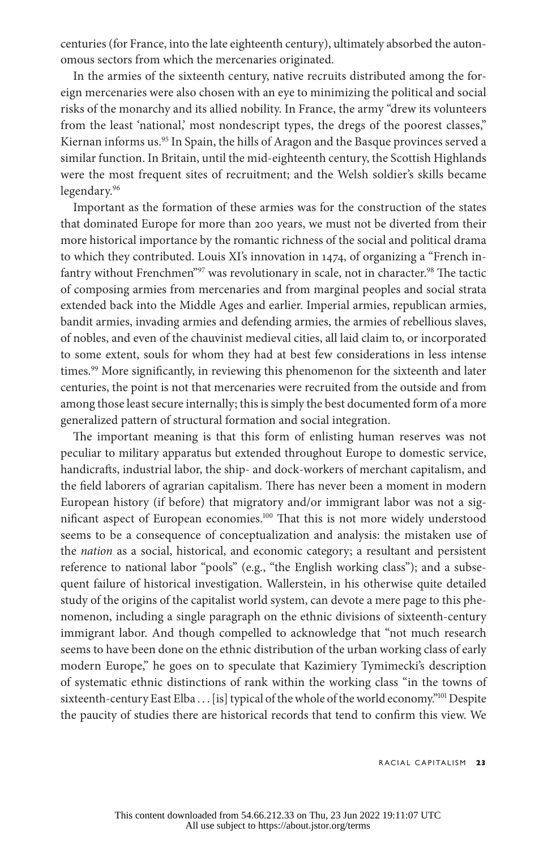centuries (for France, into the late eighteenth century), ultimately absorbed the autonomous sectors from which the mercenaries originated.

In the armies of the sixteenth century, native recruits distributed among the foreign mercenaries were also chosen with an eye to minimizing the political and social risks of the monarchy and its allied nobility. In France, the army "drew its volunteers from the least 'national,' most nondescript types, the dregs of the poorest classes," Kiernan informs us.95 In Spain, the hills of Aragon and the Basque provinces served a similar function. In Britain, until the mid-eighteenth century, the Scottish Highlands were the most frequent sites of recruitment; and the Welsh soldier's skills became legendary.96

Important as the formation of these armies was for the construction of the states that dominated Europe for more than 200 years, we must not be diverted from their more historical importance by the romantic richness of the social and political drama to which they contributed. Louis XI's innovation in 1474, of organizing a "French infantry without Frenchmen"<sup>97</sup> was revolutionary in scale, not in character.<sup>98</sup> The tactic of composing armies from mercenaries and from marginal peoples and social strata extended back into the Middle Ages and earlier. Imperial armies, republican armies, bandit armies, invading armies and defending armies, the armies of rebellious slaves, of nobles, and even of the chauvinist medieval cities, all laid claim to, or incorporated to some extent, souls for whom they had at best few considerations in less intense times.<sup>99</sup> More significantly, in reviewing this phenomenon for the sixteenth and later centuries, the point is not that mercenaries were recruited from the outside and from among those least secure internally; this is simply the best documented form of a more generalized pattern of structural formation and social integration.

The important meaning is that this form of enlisting human reserves was not peculiar to military apparatus but extended throughout Europe to domestic service, handicrafts, industrial labor, the ship- and dock-workers of merchant capitalism, and the field laborers of agrarian capitalism. There has never been a moment in modern European history (if before) that migratory and/or immigrant labor was not a significant aspect of European economies.100 That this is not more widely understood seems to be a consequence of conceptualization and analysis: the mistaken use of the *nation* as a social, historical, and economic category; a resultant and persistent reference to national labor "pools" (e.g., "the English working class"); and a subsequent failure of historical investigation. Wallerstein, in his otherwise quite detailed study of the origins of the capitalist world system, can devote a mere page to this phenomenon, including a single paragraph on the ethnic divisions of sixteenth-century immigrant labor. And though compelled to acknowledge that "not much research seems to have been done on the ethnic distribution of the urban working class of early modern Europe," he goes on to speculate that Kazimiery Tymimecki's description of systematic ethnic distinctions of rank within the working class "in the towns of sixteenth-century East Elba . . . [is] typical of the whole of the world economy."<sup>101</sup> Despite the paucity of studies there are historical records that tend to confirm this view. We

RACIAL CAPITALISM **23**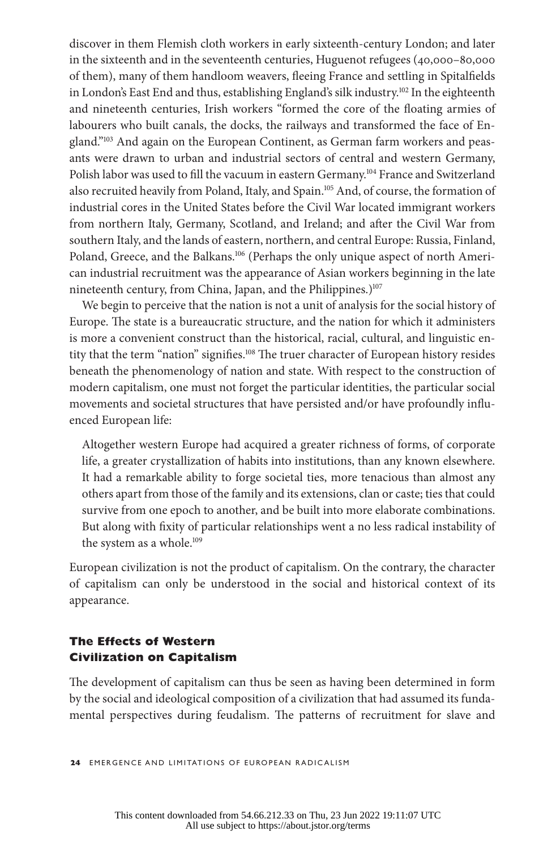discover in them Flemish cloth workers in early sixteenth-century London; and later in the sixteenth and in the seventeenth centuries, Huguenot refugees (40,000–80,000 of them), many of them handloom weavers, fleeing France and settling in Spitalfields in London's East End and thus, establishing England's silk industry.102 In the eighteenth and nineteenth centuries, Irish workers "formed the core of the floating armies of labourers who built canals, the docks, the railways and transformed the face of England."103 And again on the European Continent, as German farm workers and peasants were drawn to urban and industrial sectors of central and western Germany, Polish labor was used to fill the vacuum in eastern Germany.<sup>104</sup> France and Switzerland also recruited heavily from Poland, Italy, and Spain.<sup>105</sup> And, of course, the formation of industrial cores in the United States before the Civil War located immigrant workers from northern Italy, Germany, Scotland, and Ireland; and after the Civil War from southern Italy, and the lands of eastern, northern, and central Europe: Russia, Finland, Poland, Greece, and the Balkans.<sup>106</sup> (Perhaps the only unique aspect of north American industrial recruitment was the appearance of Asian workers beginning in the late nineteenth century, from China, Japan, and the Philippines.)<sup>107</sup>

We begin to perceive that the nation is not a unit of analysis for the social history of Europe. The state is a bureaucratic structure, and the nation for which it administers is more a convenient construct than the historical, racial, cultural, and linguistic entity that the term "nation" signifies.<sup>108</sup> The truer character of European history resides beneath the phenomenology of nation and state. With respect to the construction of modern capitalism, one must not forget the particular identities, the particular social movements and societal structures that have persisted and/or have profoundly influenced European life:

Altogether western Europe had acquired a greater richness of forms, of corporate life, a greater crystallization of habits into institutions, than any known elsewhere. It had a remarkable ability to forge societal ties, more tenacious than almost any others apart from those of the family and its extensions, clan or caste; ties that could survive from one epoch to another, and be built into more elaborate combinations. But along with fixity of particular relationships went a no less radical instability of the system as a whole.<sup>109</sup>

European civilization is not the product of capitalism. On the contrary, the character of capitalism can only be understood in the social and historical context of its appearance.

## **The Effects of Western Civilization on Capitalism**

The development of capitalism can thus be seen as having been determined in form by the social and ideological composition of a civilization that had assumed its fundamental perspectives during feudalism. The patterns of recruitment for slave and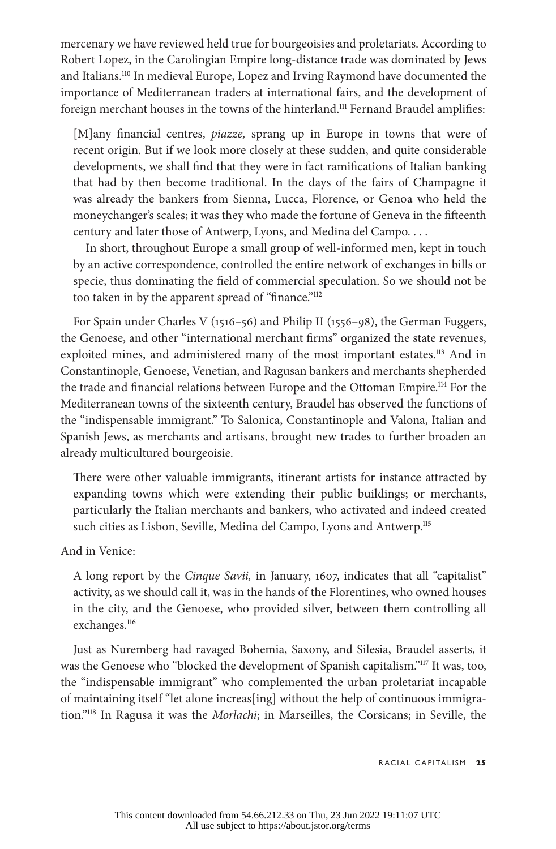mercenary we have reviewed held true for bourgeoisies and proletariats. According to Robert Lopez, in the Carolingian Empire long-distance trade was dominated by Jews and Italians.<sup>110</sup> In medieval Europe, Lopez and Irving Raymond have documented the importance of Mediterranean traders at international fairs, and the development of foreign merchant houses in the towns of the hinterland.<sup>111</sup> Fernand Braudel amplifies:

[M]any financial centres, *piazze,* sprang up in Europe in towns that were of recent origin. But if we look more closely at these sudden, and quite considerable developments, we shall find that they were in fact ramifications of Italian banking that had by then become traditional. In the days of the fairs of Champagne it was already the bankers from Sienna, Lucca, Florence, or Genoa who held the moneychanger's scales; it was they who made the fortune of Geneva in the fifteenth century and later those of Antwerp, Lyons, and Medina del Campo. . . .

In short, throughout Europe a small group of well-informed men, kept in touch by an active correspondence, controlled the entire network of exchanges in bills or specie, thus dominating the field of commercial speculation. So we should not be too taken in by the apparent spread of "finance."<sup>112</sup>

For Spain under Charles V (1516–56) and Philip II (1556–98), the German Fuggers, the Genoese, and other "international merchant firms" organized the state revenues, exploited mines, and administered many of the most important estates.<sup>113</sup> And in Constantinople, Genoese, Venetian, and Ragusan bankers and merchants shepherded the trade and financial relations between Europe and the Ottoman Empire.<sup>114</sup> For the Mediterranean towns of the sixteenth century, Braudel has observed the functions of the "indispensable immigrant." To Salonica, Constantinople and Valona, Italian and Spanish Jews, as merchants and artisans, brought new trades to further broaden an already multicultured bourgeoisie.

There were other valuable immigrants, itinerant artists for instance attracted by expanding towns which were extending their public buildings; or merchants, particularly the Italian merchants and bankers, who activated and indeed created such cities as Lisbon, Seville, Medina del Campo, Lyons and Antwerp.<sup>115</sup>

### And in Venice:

A long report by the *Cinque Savii,* in January, 1607, indicates that all "capitalist" activity, as we should call it, was in the hands of the Florentines, who owned houses in the city, and the Genoese, who provided silver, between them controlling all exchanges.<sup>116</sup>

Just as Nuremberg had ravaged Bohemia, Saxony, and Silesia, Braudel asserts, it was the Genoese who "blocked the development of Spanish capitalism."117 It was, too, the "indispensable immigrant" who complemented the urban proletariat incapable of maintaining itself "let alone increas[ing] without the help of continuous immigration."118 In Ragusa it was the *Morlachi*; in Marseilles, the Corsicans; in Seville, the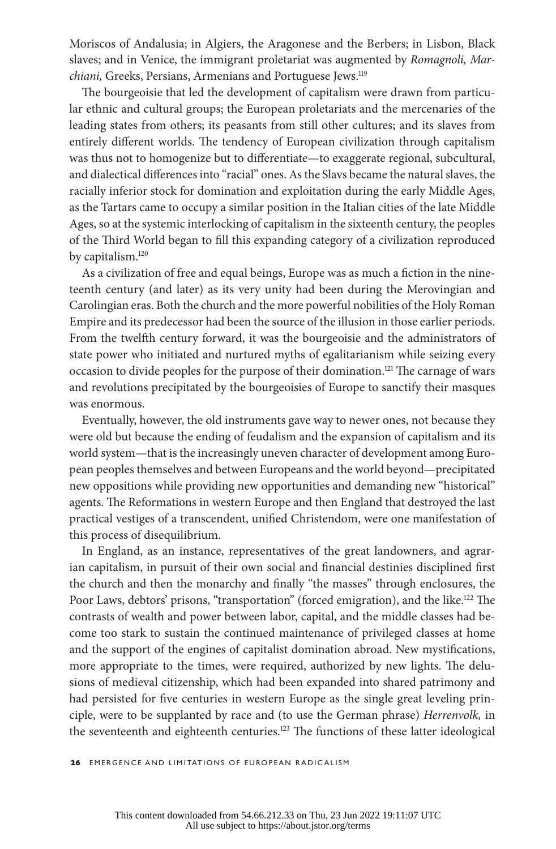Moriscos of Andalusia; in Algiers, the Aragonese and the Berbers; in Lisbon, Black slaves; and in Venice, the immigrant proletariat was augmented by *Romagnoli, Marchiani,* Greeks, Persians, Armenians and Portuguese Jews.119

The bourgeoisie that led the development of capitalism were drawn from particular ethnic and cultural groups; the European proletariats and the mercenaries of the leading states from others; its peasants from still other cultures; and its slaves from entirely different worlds. The tendency of European civilization through capitalism was thus not to homogenize but to differentiate—to exaggerate regional, subcultural, and dialectical differences into "racial" ones. As the Slavs became the natural slaves, the racially inferior stock for domination and exploitation during the early Middle Ages, as the Tartars came to occupy a similar position in the Italian cities of the late Middle Ages, so at the systemic interlocking of capitalism in the sixteenth century, the peoples of the Third World began to fill this expanding category of a civilization reproduced by capitalism.120

As a civilization of free and equal beings, Europe was as much a fiction in the nineteenth century (and later) as its very unity had been during the Merovingian and Carolingian eras. Both the church and the more powerful nobilities of the Holy Roman Empire and its predecessor had been the source of the illusion in those earlier periods. From the twelfth century forward, it was the bourgeoisie and the administrators of state power who initiated and nurtured myths of egalitarianism while seizing every occasion to divide peoples for the purpose of their domination.<sup>121</sup> The carnage of wars and revolutions precipitated by the bourgeoisies of Europe to sanctify their masques was enormous.

Eventually, however, the old instruments gave way to newer ones, not because they were old but because the ending of feudalism and the expansion of capitalism and its world system—that is the increasingly uneven character of development among European peoples themselves and between Europeans and the world beyond—precipitated new oppositions while providing new opportunities and demanding new "historical" agents. The Reformations in western Europe and then England that destroyed the last practical vestiges of a transcendent, unified Christendom, were one manifestation of this process of disequilibrium.

In England, as an instance, representatives of the great landowners, and agrarian capitalism, in pursuit of their own social and financial destinies disciplined first the church and then the monarchy and finally "the masses" through enclosures, the Poor Laws, debtors' prisons, "transportation" (forced emigration), and the like.<sup>122</sup> The contrasts of wealth and power between labor, capital, and the middle classes had become too stark to sustain the continued maintenance of privileged classes at home and the support of the engines of capitalist domination abroad. New mystifications, more appropriate to the times, were required, authorized by new lights. The delusions of medieval citizenship, which had been expanded into shared patrimony and had persisted for five centuries in western Europe as the single great leveling principle, were to be supplanted by race and (to use the German phrase) *Herrenvolk,* in the seventeenth and eighteenth centuries.<sup>123</sup> The functions of these latter ideological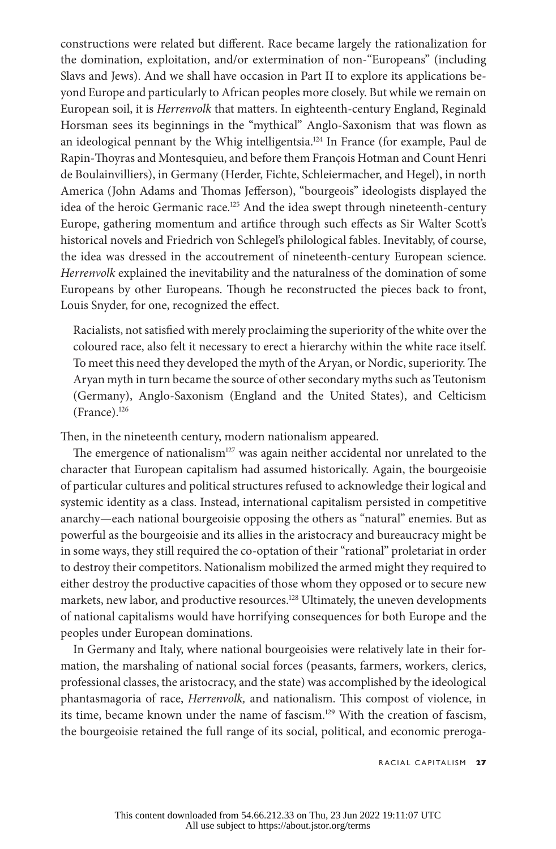constructions were related but different. Race became largely the rationalization for the domination, exploitation, and/or extermination of non-"Europeans" (including Slavs and Jews). And we shall have occasion in Part II to explore its applications beyond Europe and particularly to African peoples more closely. But while we remain on European soil, it is *Herrenvolk* that matters. In eighteenth-century England, Reginald Horsman sees its beginnings in the "mythical" Anglo-Saxonism that was flown as an ideological pennant by the Whig intelligentsia.124 In France (for example, Paul de Rapin-Thoyras and Montesquieu, and before them François Hotman and Count Henri de Boulainvilliers), in Germany (Herder, Fichte, Schleiermacher, and Hegel), in north America (John Adams and Thomas Jefferson), "bourgeois" ideologists displayed the idea of the heroic Germanic race.<sup>125</sup> And the idea swept through nineteenth-century Europe, gathering momentum and artifice through such effects as Sir Walter Scott's historical novels and Friedrich von Schlegel's philological fables. Inevitably, of course, the idea was dressed in the accoutrement of nineteenth-century European science. *Herrenvolk* explained the inevitability and the naturalness of the domination of some Europeans by other Europeans. Though he reconstructed the pieces back to front, Louis Snyder, for one, recognized the effect.

Racialists, not satisfied with merely proclaiming the superiority of the white over the coloured race, also felt it necessary to erect a hierarchy within the white race itself. To meet this need they developed the myth of the Aryan, or Nordic, superiority. The Aryan myth in turn became the source of other secondary myths such as Teutonism (Germany), Anglo-Saxonism (England and the United States), and Celticism  $(France).<sup>126</sup>$ 

Then, in the nineteenth century, modern nationalism appeared.

The emergence of nationalism<sup>127</sup> was again neither accidental nor unrelated to the character that European capitalism had assumed historically. Again, the bourgeoisie of particular cultures and political structures refused to acknowledge their logical and systemic identity as a class. Instead, international capitalism persisted in competitive anarchy—each national bourgeoisie opposing the others as "natural" enemies. But as powerful as the bourgeoisie and its allies in the aristocracy and bureaucracy might be in some ways, they still required the co-optation of their "rational" proletariat in order to destroy their competitors. Nationalism mobilized the armed might they required to either destroy the productive capacities of those whom they opposed or to secure new markets, new labor, and productive resources.<sup>128</sup> Ultimately, the uneven developments of national capitalisms would have horrifying consequences for both Europe and the peoples under European dominations.

In Germany and Italy, where national bourgeoisies were relatively late in their formation, the marshaling of national social forces (peasants, farmers, workers, clerics, professional classes, the aristocracy, and the state) was accomplished by the ideological phantasmagoria of race, *Herrenvolk,* and nationalism. This compost of violence, in its time, became known under the name of fascism.<sup>129</sup> With the creation of fascism, the bourgeoisie retained the full range of its social, political, and economic preroga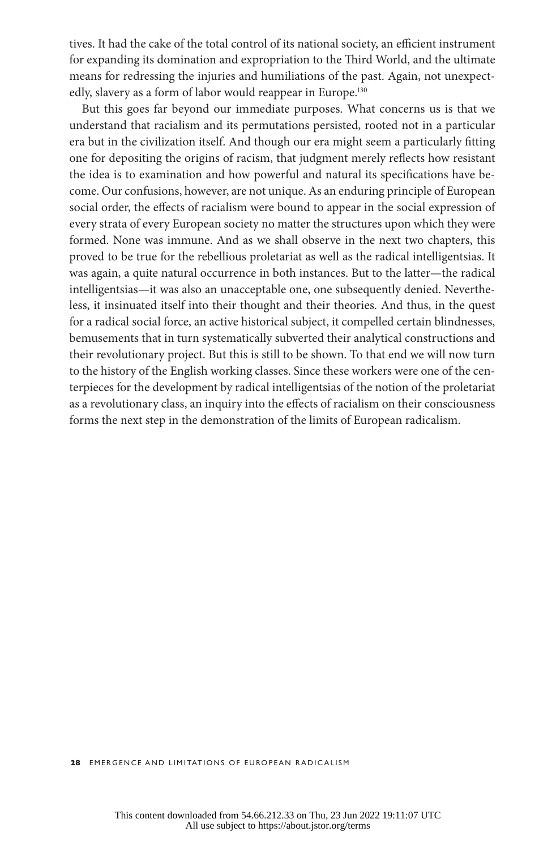tives. It had the cake of the total control of its national society, an efficient instrument for expanding its domination and expropriation to the Third World, and the ultimate means for redressing the injuries and humiliations of the past. Again, not unexpectedly, slavery as a form of labor would reappear in Europe.<sup>130</sup>

But this goes far beyond our immediate purposes. What concerns us is that we understand that racialism and its permutations persisted, rooted not in a particular era but in the civilization itself. And though our era might seem a particularly fitting one for depositing the origins of racism, that judgment merely reflects how resistant the idea is to examination and how powerful and natural its specifications have become. Our confusions, however, are not unique. As an enduring principle of European social order, the effects of racialism were bound to appear in the social expression of every strata of every European society no matter the structures upon which they were formed. None was immune. And as we shall observe in the next two chapters, this proved to be true for the rebellious proletariat as well as the radical intelligentsias. It was again, a quite natural occurrence in both instances. But to the latter—the radical intelligentsias—it was also an unacceptable one, one subsequently denied. Nevertheless, it insinuated itself into their thought and their theories. And thus, in the quest for a radical social force, an active historical subject, it compelled certain blindnesses, bemusements that in turn systematically subverted their analytical constructions and their revolutionary project. But this is still to be shown. To that end we will now turn to the history of the English working classes. Since these workers were one of the centerpieces for the development by radical intelligentsias of the notion of the proletariat as a revolutionary class, an inquiry into the effects of racialism on their consciousness forms the next step in the demonstration of the limits of European radicalism.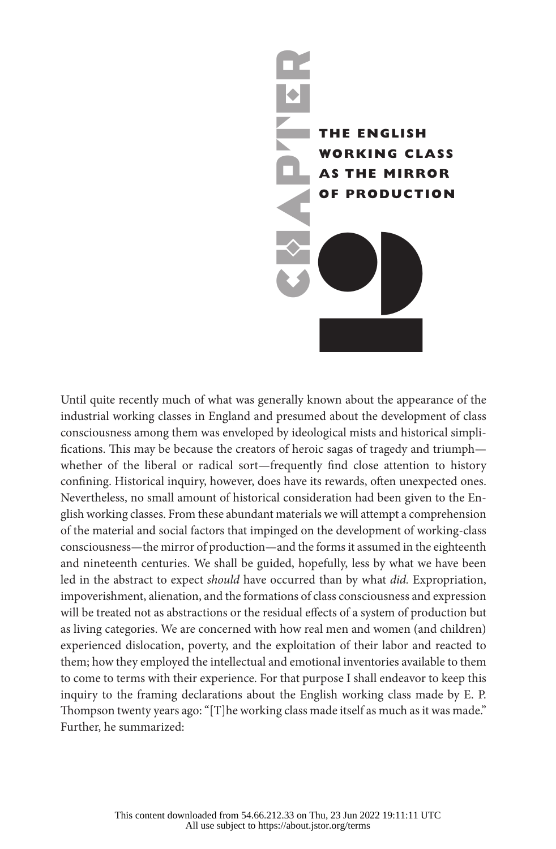

Until quite recently much of what was generally known about the appearance of the industrial working classes in England and presumed about the development of class consciousness among them was enveloped by ideological mists and historical simplifications. This may be because the creators of heroic sagas of tragedy and triumph whether of the liberal or radical sort—frequently find close attention to history confining. Historical inquiry, however, does have its rewards, often unexpected ones. Nevertheless, no small amount of historical consideration had been given to the English working classes. From these abundant materials we will attempt a comprehension of the material and social factors that impinged on the development of working-class consciousness—the mirror of production—and the forms it assumed in the eighteenth and nineteenth centuries. We shall be guided, hopefully, less by what we have been led in the abstract to expect *should* have occurred than by what *did.* Expropriation, impoverishment, alienation, and the formations of class consciousness and expression will be treated not as abstractions or the residual effects of a system of production but as living categories. We are concerned with how real men and women (and children) experienced dislocation, poverty, and the exploitation of their labor and reacted to them; how they employed the intellectual and emotional inventories available to them to come to terms with their experience. For that purpose I shall endeavor to keep this inquiry to the framing declarations about the English working class made by E. P. Thompson twenty years ago: "[T]he working class made itself as much as it was made." Further, he summarized: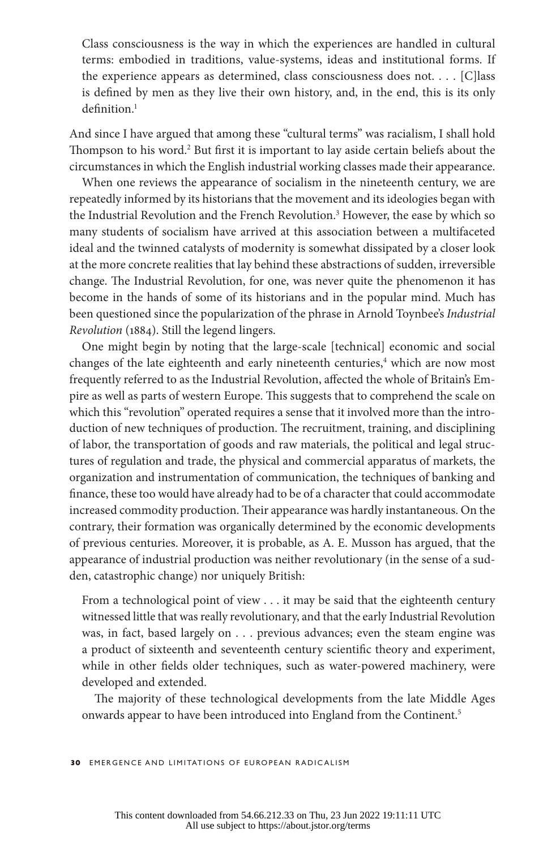Class consciousness is the way in which the experiences are handled in cultural terms: embodied in traditions, value-systems, ideas and institutional forms. If the experience appears as determined, class consciousness does not. . . . [C]lass is defined by men as they live their own history, and, in the end, this is its only  $definition<sup>1</sup>$ 

And since I have argued that among these "cultural terms" was racialism, I shall hold Thompson to his word.<sup>2</sup> But first it is important to lay aside certain beliefs about the circumstances in which the English industrial working classes made their appearance.

When one reviews the appearance of socialism in the nineteenth century, we are repeatedly informed by its historians that the movement and its ideologies began with the Industrial Revolution and the French Revolution.<sup>3</sup> However, the ease by which so many students of socialism have arrived at this association between a multifaceted ideal and the twinned catalysts of modernity is somewhat dissipated by a closer look at the more concrete realities that lay behind these abstractions of sudden, irreversible change. The Industrial Revolution, for one, was never quite the phenomenon it has become in the hands of some of its historians and in the popular mind. Much has been questioned since the popularization of the phrase in Arnold Toynbee's *Industrial Revolution* (1884). Still the legend lingers.

One might begin by noting that the large-scale [technical] economic and social changes of the late eighteenth and early nineteenth centuries,<sup>4</sup> which are now most frequently referred to as the Industrial Revolution, affected the whole of Britain's Empire as well as parts of western Europe. This suggests that to comprehend the scale on which this "revolution" operated requires a sense that it involved more than the introduction of new techniques of production. The recruitment, training, and disciplining of labor, the transportation of goods and raw materials, the political and legal structures of regulation and trade, the physical and commercial apparatus of markets, the organization and instrumentation of communication, the techniques of banking and finance, these too would have already had to be of a character that could accommodate increased commodity production. Their appearance was hardly instantaneous. On the contrary, their formation was organically determined by the economic developments of previous centuries. Moreover, it is probable, as A. E. Musson has argued, that the appearance of industrial production was neither revolutionary (in the sense of a sudden, catastrophic change) nor uniquely British:

From a technological point of view . . . it may be said that the eighteenth century witnessed little that was really revolutionary, and that the early Industrial Revolution was, in fact, based largely on . . . previous advances; even the steam engine was a product of sixteenth and seventeenth century scientific theory and experiment, while in other fields older techniques, such as water-powered machinery, were developed and extended.

The majority of these technological developments from the late Middle Ages onwards appear to have been introduced into England from the Continent.5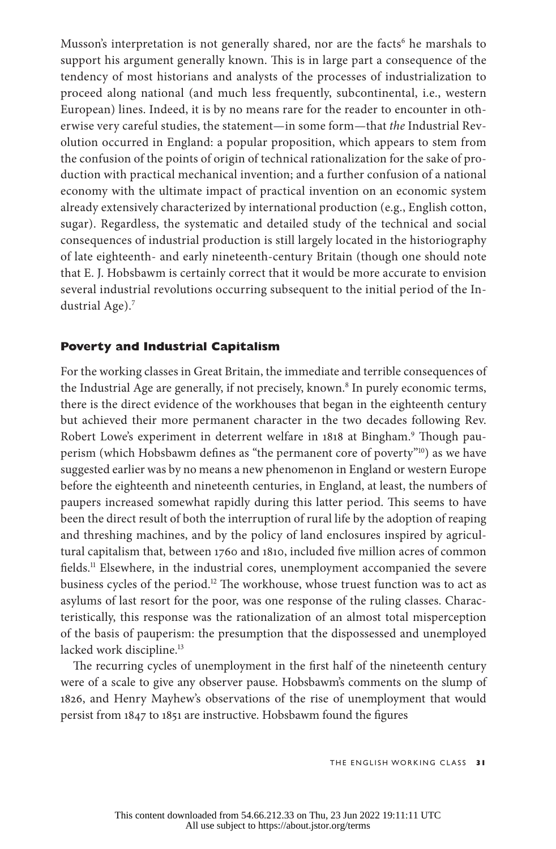Musson's interpretation is not generally shared, nor are the facts<sup>6</sup> he marshals to support his argument generally known. This is in large part a consequence of the tendency of most historians and analysts of the processes of industrialization to proceed along national (and much less frequently, subcontinental, i.e., western European) lines. Indeed, it is by no means rare for the reader to encounter in otherwise very careful studies, the statement—in some form—that *the* Industrial Revolution occurred in England: a popular proposition, which appears to stem from the confusion of the points of origin of technical rationalization for the sake of production with practical mechanical invention; and a further confusion of a national economy with the ultimate impact of practical invention on an economic system already extensively characterized by international production (e.g., English cotton, sugar). Regardless, the systematic and detailed study of the technical and social consequences of industrial production is still largely located in the historiography of late eighteenth- and early nineteenth-century Britain (though one should note that E. J. Hobsbawm is certainly correct that it would be more accurate to envision several industrial revolutions occurring subsequent to the initial period of the Industrial Age).<sup>7</sup>

### **Poverty and Industrial Capitalism**

For the working classes in Great Britain, the immediate and terrible consequences of the Industrial Age are generally, if not precisely, known.<sup>8</sup> In purely economic terms, there is the direct evidence of the workhouses that began in the eighteenth century but achieved their more permanent character in the two decades following Rev. Robert Lowe's experiment in deterrent welfare in 1818 at Bingham.<sup>9</sup> Though pauperism (which Hobsbawm defines as "the permanent core of poverty"10) as we have suggested earlier was by no means a new phenomenon in England or western Europe before the eighteenth and nineteenth centuries, in England, at least, the numbers of paupers increased somewhat rapidly during this latter period. This seems to have been the direct result of both the interruption of rural life by the adoption of reaping and threshing machines, and by the policy of land enclosures inspired by agricultural capitalism that, between 1760 and 1810, included five million acres of common fields.<sup>11</sup> Elsewhere, in the industrial cores, unemployment accompanied the severe business cycles of the period.<sup>12</sup> The workhouse, whose truest function was to act as asylums of last resort for the poor, was one response of the ruling classes. Characteristically, this response was the rationalization of an almost total misperception of the basis of pauperism: the presumption that the dispossessed and unemployed lacked work discipline.<sup>13</sup>

The recurring cycles of unemployment in the first half of the nineteenth century were of a scale to give any observer pause. Hobsbawm's comments on the slump of 1826, and Henry Mayhew's observations of the rise of unemployment that would persist from 1847 to 1851 are instructive. Hobsbawm found the figures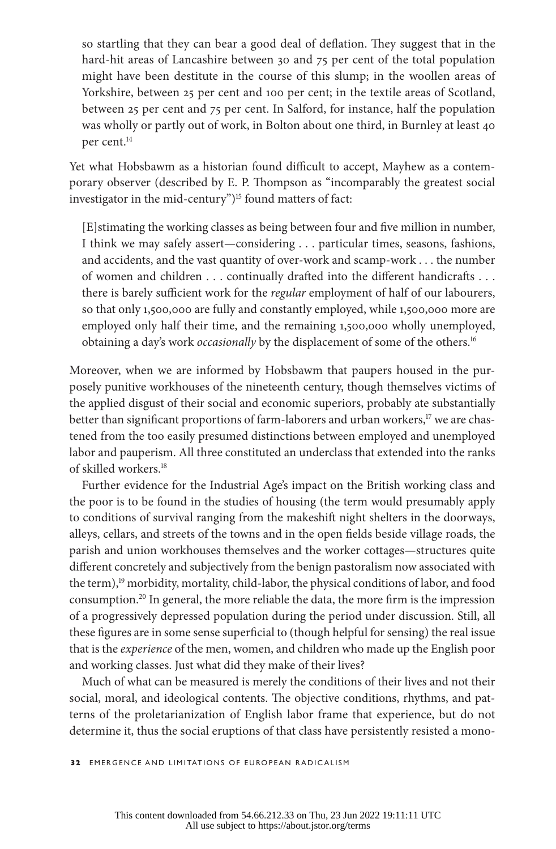so startling that they can bear a good deal of deflation. They suggest that in the hard-hit areas of Lancashire between 30 and 75 per cent of the total population might have been destitute in the course of this slump; in the woollen areas of Yorkshire, between 25 per cent and 100 per cent; in the textile areas of Scotland, between 25 per cent and 75 per cent. In Salford, for instance, half the population was wholly or partly out of work, in Bolton about one third, in Burnley at least 40 per cent.<sup>14</sup>

Yet what Hobsbawm as a historian found difficult to accept, Mayhew as a contemporary observer (described by E. P. Thompson as "incomparably the greatest social investigator in the mid-century")<sup>15</sup> found matters of fact:

[E]stimating the working classes as being between four and five million in number, I think we may safely assert—considering . . . particular times, seasons, fashions, and accidents, and the vast quantity of over-work and scamp-work . . . the number of women and children . . . continually drafted into the different handicrafts . . . there is barely sufficient work for the *regular* employment of half of our labourers, so that only 1,500,000 are fully and constantly employed, while 1,500,000 more are employed only half their time, and the remaining 1,500,000 wholly unemployed, obtaining a day's work *occasionally* by the displacement of some of the others.<sup>16</sup>

Moreover, when we are informed by Hobsbawm that paupers housed in the purposely punitive workhouses of the nineteenth century, though themselves victims of the applied disgust of their social and economic superiors, probably ate substantially better than significant proportions of farm-laborers and urban workers,<sup>17</sup> we are chastened from the too easily presumed distinctions between employed and unemployed labor and pauperism. All three constituted an underclass that extended into the ranks of skilled workers<sup>18</sup>

Further evidence for the Industrial Age's impact on the British working class and the poor is to be found in the studies of housing (the term would presumably apply to conditions of survival ranging from the makeshift night shelters in the doorways, alleys, cellars, and streets of the towns and in the open fields beside village roads, the parish and union workhouses themselves and the worker cottages—structures quite different concretely and subjectively from the benign pastoralism now associated with the term),<sup>19</sup> morbidity, mortality, child-labor, the physical conditions of labor, and food consumption.20 In general, the more reliable the data, the more firm is the impression of a progressively depressed population during the period under discussion. Still, all these figures are in some sense superficial to (though helpful for sensing) the real issue that is the *experience* of the men, women, and children who made up the English poor and working classes. Just what did they make of their lives?

Much of what can be measured is merely the conditions of their lives and not their social, moral, and ideological contents. The objective conditions, rhythms, and patterns of the proletarianization of English labor frame that experience, but do not determine it, thus the social eruptions of that class have persistently resisted a mono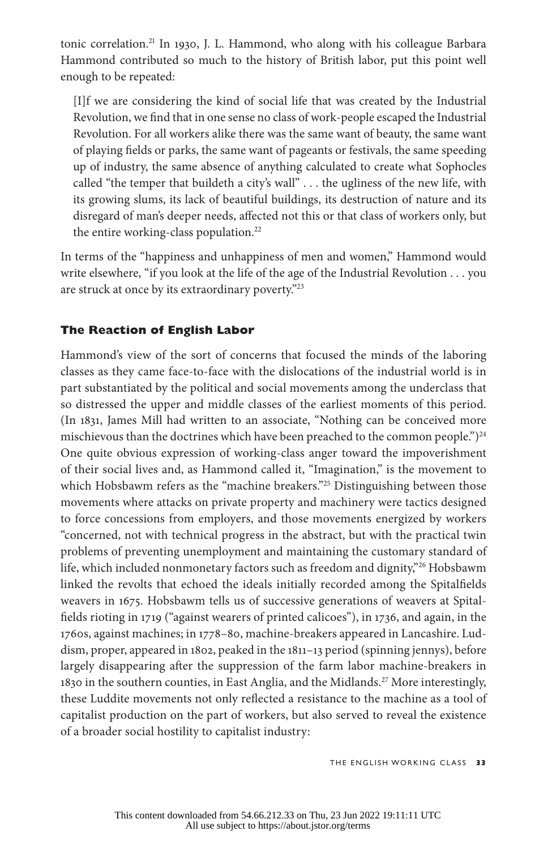tonic correlation.<sup>21</sup> In 1930, J. L. Hammond, who along with his colleague Barbara Hammond contributed so much to the history of British labor, put this point well enough to be repeated:

[I]f we are considering the kind of social life that was created by the Industrial Revolution, we find that in one sense no class of work-people escaped the Industrial Revolution. For all workers alike there was the same want of beauty, the same want of playing fields or parks, the same want of pageants or festivals, the same speeding up of industry, the same absence of anything calculated to create what Sophocles called "the temper that buildeth a city's wall" . . . the ugliness of the new life, with its growing slums, its lack of beautiful buildings, its destruction of nature and its disregard of man's deeper needs, affected not this or that class of workers only, but the entire working-class population.<sup>22</sup>

In terms of the "happiness and unhappiness of men and women," Hammond would write elsewhere, "if you look at the life of the age of the Industrial Revolution . . . you are struck at once by its extraordinary poverty."23

## **The Reaction of English Labor**

Hammond's view of the sort of concerns that focused the minds of the laboring classes as they came face-to-face with the dislocations of the industrial world is in part substantiated by the political and social movements among the underclass that so distressed the upper and middle classes of the earliest moments of this period. (In 1831, James Mill had written to an associate, "Nothing can be conceived more mischievous than the doctrines which have been preached to the common people.")<sup>24</sup> One quite obvious expression of working-class anger toward the impoverishment of their social lives and, as Hammond called it, "Imagination," is the movement to which Hobsbawm refers as the "machine breakers."<sup>25</sup> Distinguishing between those movements where attacks on private property and machinery were tactics designed to force concessions from employers, and those movements energized by workers "concerned, not with technical progress in the abstract, but with the practical twin problems of preventing unemployment and maintaining the customary standard of life, which included nonmonetary factors such as freedom and dignity,"<sup>26</sup> Hobsbawm linked the revolts that echoed the ideals initially recorded among the Spitalfields weavers in 1675. Hobsbawm tells us of successive generations of weavers at Spitalfields rioting in 1719 ("against wearers of printed calicoes"), in 1736, and again, in the 1760s, against machines; in 1778–80, machine-breakers appeared in Lancashire. Luddism, proper, appeared in 1802, peaked in the 1811–13 period (spinning jennys), before largely disappearing after the suppression of the farm labor machine-breakers in 1830 in the southern counties, in East Anglia, and the Midlands.<sup>27</sup> More interestingly, these Luddite movements not only reflected a resistance to the machine as a tool of capitalist production on the part of workers, but also served to reveal the existence of a broader social hostility to capitalist industry: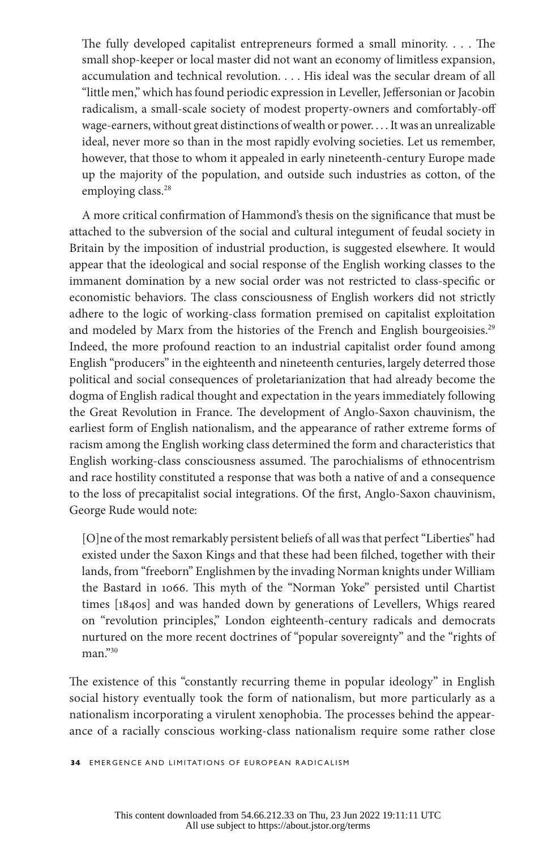The fully developed capitalist entrepreneurs formed a small minority. . . . The small shop-keeper or local master did not want an economy of limitless expansion, accumulation and technical revolution. . . . His ideal was the secular dream of all "little men," which has found periodic expression in Leveller, Jeffersonian or Jacobin radicalism, a small-scale society of modest property-owners and comfortably-off wage-earners, without great distinctions of wealth or power. . . . It was an unrealizable ideal, never more so than in the most rapidly evolving societies. Let us remember, however, that those to whom it appealed in early nineteenth-century Europe made up the majority of the population, and outside such industries as cotton, of the employing class.<sup>28</sup>

A more critical confirmation of Hammond's thesis on the significance that must be attached to the subversion of the social and cultural integument of feudal society in Britain by the imposition of industrial production, is suggested elsewhere. It would appear that the ideological and social response of the English working classes to the immanent domination by a new social order was not restricted to class-specific or economistic behaviors. The class consciousness of English workers did not strictly adhere to the logic of working-class formation premised on capitalist exploitation and modeled by Marx from the histories of the French and English bourgeoisies.<sup>29</sup> Indeed, the more profound reaction to an industrial capitalist order found among English "producers" in the eighteenth and nineteenth centuries, largely deterred those political and social consequences of proletarianization that had already become the dogma of English radical thought and expectation in the years immediately following the Great Revolution in France. The development of Anglo-Saxon chauvinism, the earliest form of English nationalism, and the appearance of rather extreme forms of racism among the English working class determined the form and characteristics that English working-class consciousness assumed. The parochialisms of ethnocentrism and race hostility constituted a response that was both a native of and a consequence to the loss of precapitalist social integrations. Of the first, Anglo-Saxon chauvinism, George Rude would note:

[O]ne of the most remarkably persistent beliefs of all was that perfect "Liberties" had existed under the Saxon Kings and that these had been filched, together with their lands, from "freeborn" Englishmen by the invading Norman knights under William the Bastard in 1066. This myth of the "Norman Yoke" persisted until Chartist times [1840s] and was handed down by generations of Levellers, Whigs reared on "revolution principles," London eighteenth-century radicals and democrats nurtured on the more recent doctrines of "popular sovereignty" and the "rights of man."30

The existence of this "constantly recurring theme in popular ideology" in English social history eventually took the form of nationalism, but more particularly as a nationalism incorporating a virulent xenophobia. The processes behind the appearance of a racially conscious working-class nationalism require some rather close

**34** EMERGENCE AND LIMITATIONS OF EUROPEAN RADICALISM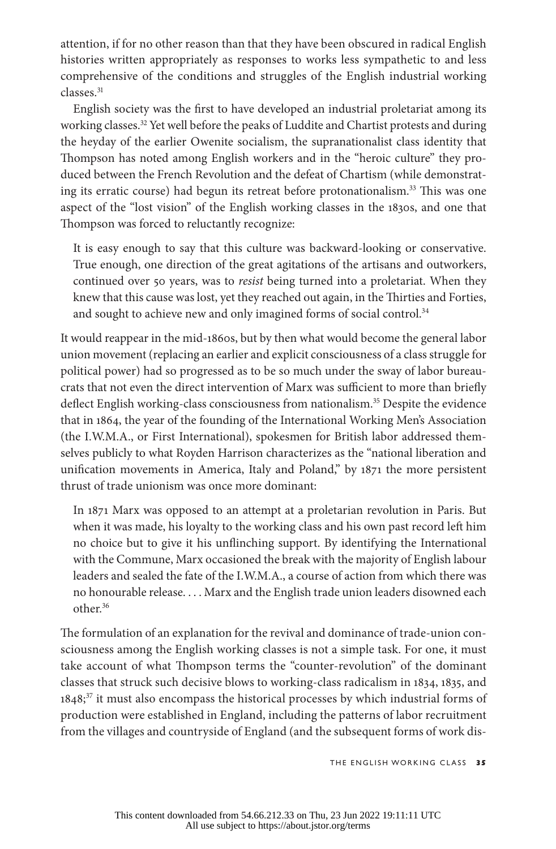attention, if for no other reason than that they have been obscured in radical English histories written appropriately as responses to works less sympathetic to and less comprehensive of the conditions and struggles of the English industrial working classes.31

English society was the first to have developed an industrial proletariat among its working classes.32 Yet well before the peaks of Luddite and Chartist protests and during the heyday of the earlier Owenite socialism, the supranationalist class identity that Thompson has noted among English workers and in the "heroic culture" they produced between the French Revolution and the defeat of Chartism (while demonstrating its erratic course) had begun its retreat before protonationalism.<sup>33</sup> This was one aspect of the "lost vision" of the English working classes in the 1830s, and one that Thompson was forced to reluctantly recognize:

It is easy enough to say that this culture was backward-looking or conservative. True enough, one direction of the great agitations of the artisans and outworkers, continued over 50 years, was to *resist* being turned into a proletariat. When they knew that this cause was lost, yet they reached out again, in the Thirties and Forties, and sought to achieve new and only imagined forms of social control.<sup>34</sup>

It would reappear in the mid-1860s, but by then what would become the general labor union movement (replacing an earlier and explicit consciousness of a class struggle for political power) had so progressed as to be so much under the sway of labor bureaucrats that not even the direct intervention of Marx was sufficient to more than briefly deflect English working-class consciousness from nationalism.35 Despite the evidence that in 1864, the year of the founding of the International Working Men's Association (the I.W.M.A., or First International), spokesmen for British labor addressed themselves publicly to what Royden Harrison characterizes as the "national liberation and unification movements in America, Italy and Poland," by 1871 the more persistent thrust of trade unionism was once more dominant:

In 1871 Marx was opposed to an attempt at a proletarian revolution in Paris. But when it was made, his loyalty to the working class and his own past record left him no choice but to give it his unflinching support. By identifying the International with the Commune, Marx occasioned the break with the majority of English labour leaders and sealed the fate of the I.W.M.A., a course of action from which there was no honourable release. . . . Marx and the English trade union leaders disowned each other.36

The formulation of an explanation for the revival and dominance of trade-union consciousness among the English working classes is not a simple task. For one, it must take account of what Thompson terms the "counter-revolution" of the dominant classes that struck such decisive blows to working-class radicalism in 1834, 1835, and 1848;<sup>37</sup> it must also encompass the historical processes by which industrial forms of production were established in England, including the patterns of labor recruitment from the villages and countryside of England (and the subsequent forms of work dis-

THE ENGLISH WORKING CLASS **35**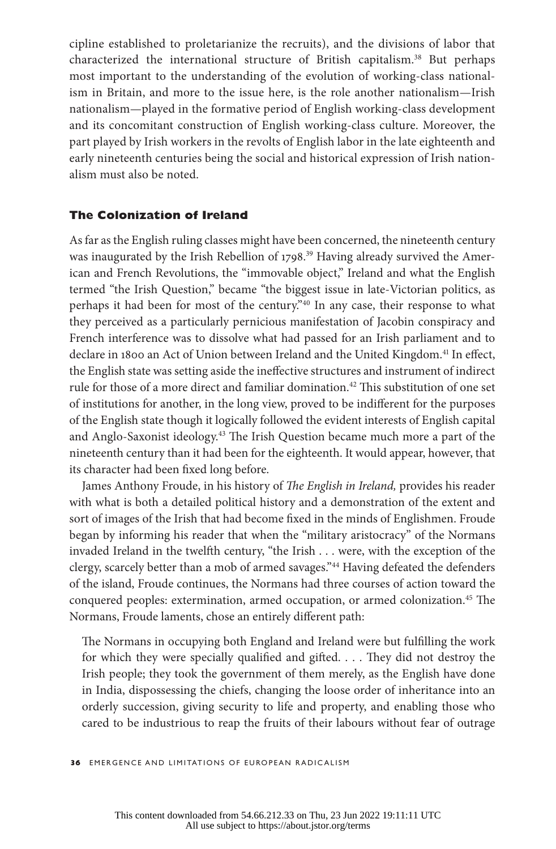cipline established to proletarianize the recruits), and the divisions of labor that characterized the international structure of British capitalism.38 But perhaps most important to the understanding of the evolution of working-class nationalism in Britain, and more to the issue here, is the role another nationalism—Irish nationalism—played in the formative period of English working-class development and its concomitant construction of English working-class culture. Moreover, the part played by Irish workers in the revolts of English labor in the late eighteenth and early nineteenth centuries being the social and historical expression of Irish nationalism must also be noted.

### **The Colonization of Ireland**

As far as the English ruling classes might have been concerned, the nineteenth century was inaugurated by the Irish Rebellion of 1798.<sup>39</sup> Having already survived the American and French Revolutions, the "immovable object," Ireland and what the English termed "the Irish Question," became "the biggest issue in late-Victorian politics, as perhaps it had been for most of the century."40 In any case, their response to what they perceived as a particularly pernicious manifestation of Jacobin conspiracy and French interference was to dissolve what had passed for an Irish parliament and to declare in 1800 an Act of Union between Ireland and the United Kingdom.<sup>41</sup> In effect, the English state was setting aside the ineffective structures and instrument of indirect rule for those of a more direct and familiar domination.<sup>42</sup> This substitution of one set of institutions for another, in the long view, proved to be indifferent for the purposes of the English state though it logically followed the evident interests of English capital and Anglo-Saxonist ideology.43 The Irish Question became much more a part of the nineteenth century than it had been for the eighteenth. It would appear, however, that its character had been fixed long before.

James Anthony Froude, in his history of *The English in Ireland,* provides his reader with what is both a detailed political history and a demonstration of the extent and sort of images of the Irish that had become fixed in the minds of Englishmen. Froude began by informing his reader that when the "military aristocracy" of the Normans invaded Ireland in the twelfth century, "the Irish . . . were, with the exception of the clergy, scarcely better than a mob of armed savages."44 Having defeated the defenders of the island, Froude continues, the Normans had three courses of action toward the conquered peoples: extermination, armed occupation, or armed colonization.45 The Normans, Froude laments, chose an entirely different path:

The Normans in occupying both England and Ireland were but fulfilling the work for which they were specially qualified and gifted. . . . They did not destroy the Irish people; they took the government of them merely, as the English have done in India, dispossessing the chiefs, changing the loose order of inheritance into an orderly succession, giving security to life and property, and enabling those who cared to be industrious to reap the fruits of their labours without fear of outrage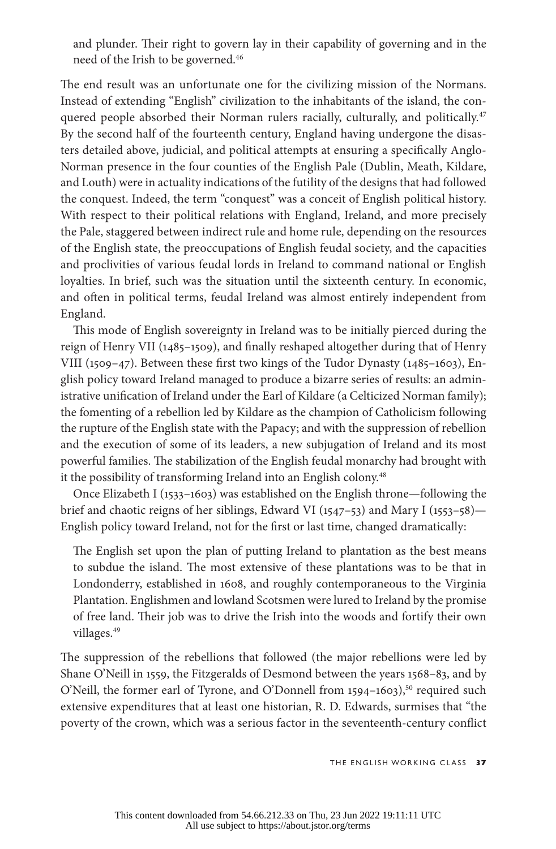and plunder. Their right to govern lay in their capability of governing and in the need of the Irish to be governed.46

The end result was an unfortunate one for the civilizing mission of the Normans. Instead of extending "English" civilization to the inhabitants of the island, the conquered people absorbed their Norman rulers racially, culturally, and politically.<sup>47</sup> By the second half of the fourteenth century, England having undergone the disasters detailed above, judicial, and political attempts at ensuring a specifically Anglo-Norman presence in the four counties of the English Pale (Dublin, Meath, Kildare, and Louth) were in actuality indications of the futility of the designs that had followed the conquest. Indeed, the term "conquest" was a conceit of English political history. With respect to their political relations with England, Ireland, and more precisely the Pale, staggered between indirect rule and home rule, depending on the resources of the English state, the preoccupations of English feudal society, and the capacities and proclivities of various feudal lords in Ireland to command national or English loyalties. In brief, such was the situation until the sixteenth century. In economic, and often in political terms, feudal Ireland was almost entirely independent from England.

This mode of English sovereignty in Ireland was to be initially pierced during the reign of Henry VII (1485–1509), and finally reshaped altogether during that of Henry VIII (1509–47). Between these first two kings of the Tudor Dynasty (1485–1603), English policy toward Ireland managed to produce a bizarre series of results: an administrative unification of Ireland under the Earl of Kildare (a Celticized Norman family); the fomenting of a rebellion led by Kildare as the champion of Catholicism following the rupture of the English state with the Papacy; and with the suppression of rebellion and the execution of some of its leaders, a new subjugation of Ireland and its most powerful families. The stabilization of the English feudal monarchy had brought with it the possibility of transforming Ireland into an English colony.<sup>48</sup>

Once Elizabeth I (1533–1603) was established on the English throne—following the brief and chaotic reigns of her siblings, Edward VI (1547–53) and Mary I (1553–58)— English policy toward Ireland, not for the first or last time, changed dramatically:

The English set upon the plan of putting Ireland to plantation as the best means to subdue the island. The most extensive of these plantations was to be that in Londonderry, established in 1608, and roughly contemporaneous to the Virginia Plantation. Englishmen and lowland Scotsmen were lured to Ireland by the promise of free land. Their job was to drive the Irish into the woods and fortify their own villages.49

The suppression of the rebellions that followed (the major rebellions were led by Shane O'Neill in 1559, the Fitzgeralds of Desmond between the years 1568–83, and by O'Neill, the former earl of Tyrone, and O'Donnell from 1594-1603),<sup>50</sup> required such extensive expenditures that at least one historian, R. D. Edwards, surmises that "the poverty of the crown, which was a serious factor in the seventeenth-century conflict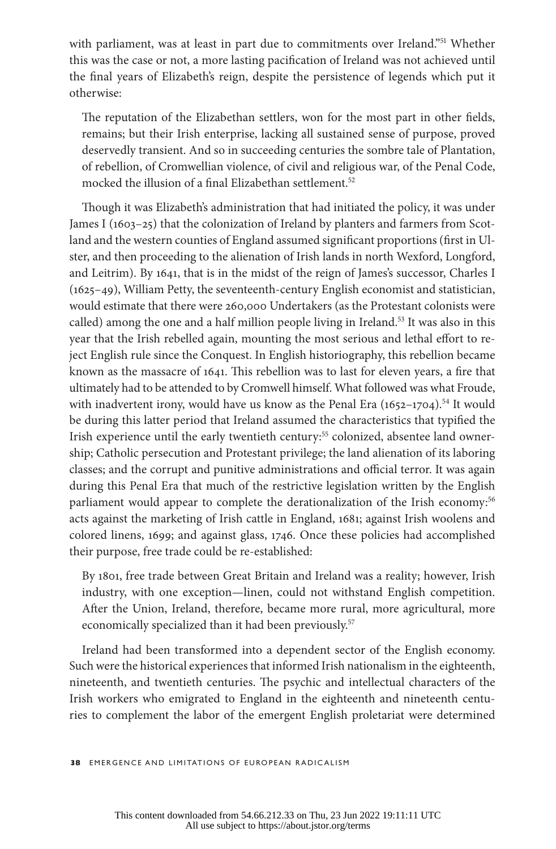with parliament, was at least in part due to commitments over Ireland."<sup>51</sup> Whether this was the case or not, a more lasting pacification of Ireland was not achieved until the final years of Elizabeth's reign, despite the persistence of legends which put it otherwise:

The reputation of the Elizabethan settlers, won for the most part in other fields, remains; but their Irish enterprise, lacking all sustained sense of purpose, proved deservedly transient. And so in succeeding centuries the sombre tale of Plantation, of rebellion, of Cromwellian violence, of civil and religious war, of the Penal Code, mocked the illusion of a final Elizabethan settlement.<sup>52</sup>

Though it was Elizabeth's administration that had initiated the policy, it was under James I (1603–25) that the colonization of Ireland by planters and farmers from Scotland and the western counties of England assumed significant proportions (first in Ulster, and then proceeding to the alienation of Irish lands in north Wexford, Longford, and Leitrim). By 1641, that is in the midst of the reign of James's successor, Charles I (1625–49), William Petty, the seventeenth-century English economist and statistician, would estimate that there were 260,000 Undertakers (as the Protestant colonists were called) among the one and a half million people living in Ireland.53 It was also in this year that the Irish rebelled again, mounting the most serious and lethal effort to reject English rule since the Conquest. In English historiography, this rebellion became known as the massacre of 1641. This rebellion was to last for eleven years, a fire that ultimately had to be attended to by Cromwell himself. What followed was what Froude, with inadvertent irony, would have us know as the Penal Era  $(1652-1704).$ <sup>54</sup> It would be during this latter period that Ireland assumed the characteristics that typified the Irish experience until the early twentieth century:<sup>55</sup> colonized, absentee land ownership; Catholic persecution and Protestant privilege; the land alienation of its laboring classes; and the corrupt and punitive administrations and official terror. It was again during this Penal Era that much of the restrictive legislation written by the English parliament would appear to complete the derationalization of the Irish economy:56 acts against the marketing of Irish cattle in England, 1681; against Irish woolens and colored linens, 1699; and against glass, 1746. Once these policies had accomplished their purpose, free trade could be re-established:

By 1801, free trade between Great Britain and Ireland was a reality; however, Irish industry, with one exception—linen, could not withstand English competition. After the Union, Ireland, therefore, became more rural, more agricultural, more economically specialized than it had been previously.<sup>57</sup>

Ireland had been transformed into a dependent sector of the English economy. Such were the historical experiences that informed Irish nationalism in the eighteenth, nineteenth, and twentieth centuries. The psychic and intellectual characters of the Irish workers who emigrated to England in the eighteenth and nineteenth centuries to complement the labor of the emergent English proletariat were determined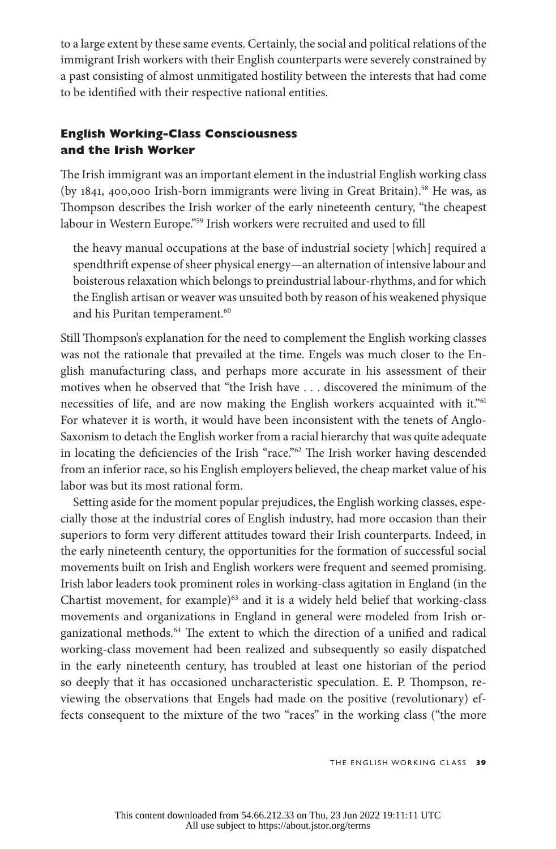to a large extent by these same events. Certainly, the social and political relations of the immigrant Irish workers with their English counterparts were severely constrained by a past consisting of almost unmitigated hostility between the interests that had come to be identified with their respective national entities.

## **English Working-Class Consciousness and the Irish Worker**

The Irish immigrant was an important element in the industrial English working class (by 1841, 400,000 Irish-born immigrants were living in Great Britain).<sup>58</sup> He was, as Thompson describes the Irish worker of the early nineteenth century, "the cheapest labour in Western Europe."59 Irish workers were recruited and used to fill

the heavy manual occupations at the base of industrial society [which] required a spendthrift expense of sheer physical energy—an alternation of intensive labour and boisterous relaxation which belongs to preindustrial labour-rhythms, and for which the English artisan or weaver was unsuited both by reason of his weakened physique and his Puritan temperament.<sup>60</sup>

Still Thompson's explanation for the need to complement the English working classes was not the rationale that prevailed at the time. Engels was much closer to the English manufacturing class, and perhaps more accurate in his assessment of their motives when he observed that "the Irish have . . . discovered the minimum of the necessities of life, and are now making the English workers acquainted with it."61 For whatever it is worth, it would have been inconsistent with the tenets of Anglo-Saxonism to detach the English worker from a racial hierarchy that was quite adequate in locating the deficiencies of the Irish "race."62 The Irish worker having descended from an inferior race, so his English employers believed, the cheap market value of his labor was but its most rational form.

Setting aside for the moment popular prejudices, the English working classes, especially those at the industrial cores of English industry, had more occasion than their superiors to form very different attitudes toward their Irish counterparts. Indeed, in the early nineteenth century, the opportunities for the formation of successful social movements built on Irish and English workers were frequent and seemed promising. Irish labor leaders took prominent roles in working-class agitation in England (in the Chartist movement, for example)<sup>63</sup> and it is a widely held belief that working-class movements and organizations in England in general were modeled from Irish organizational methods.64 The extent to which the direction of a unified and radical working-class movement had been realized and subsequently so easily dispatched in the early nineteenth century, has troubled at least one historian of the period so deeply that it has occasioned uncharacteristic speculation. E. P. Thompson, reviewing the observations that Engels had made on the positive (revolutionary) effects consequent to the mixture of the two "races" in the working class ("the more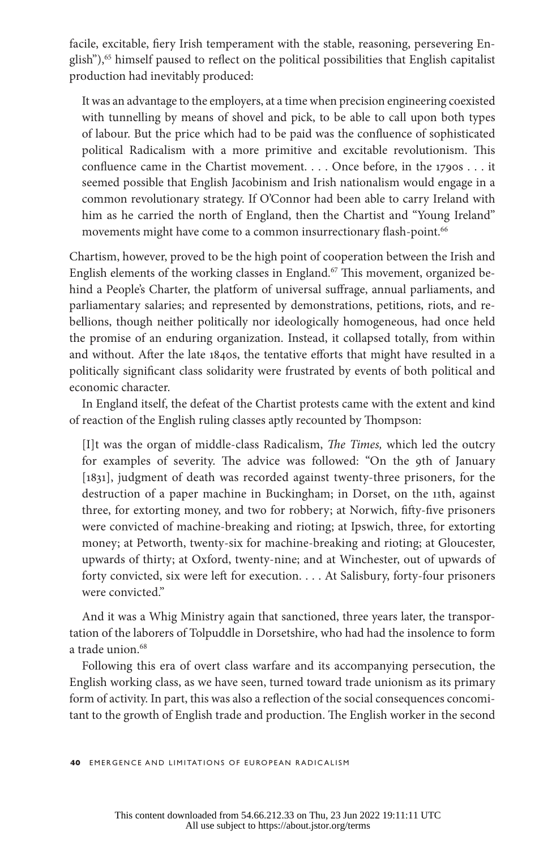facile, excitable, fiery Irish temperament with the stable, reasoning, persevering English"),65 himself paused to reflect on the political possibilities that English capitalist production had inevitably produced:

It was an advantage to the employers, at a time when precision engineering coexisted with tunnelling by means of shovel and pick, to be able to call upon both types of labour. But the price which had to be paid was the confluence of sophisticated political Radicalism with a more primitive and excitable revolutionism. This confluence came in the Chartist movement. . . . Once before, in the 1790s . . . it seemed possible that English Jacobinism and Irish nationalism would engage in a common revolutionary strategy. If O'Connor had been able to carry Ireland with him as he carried the north of England, then the Chartist and "Young Ireland" movements might have come to a common insurrectionary flash-point.<sup>66</sup>

Chartism, however, proved to be the high point of cooperation between the Irish and English elements of the working classes in England.<sup>67</sup> This movement, organized behind a People's Charter, the platform of universal suffrage, annual parliaments, and parliamentary salaries; and represented by demonstrations, petitions, riots, and rebellions, though neither politically nor ideologically homogeneous, had once held the promise of an enduring organization. Instead, it collapsed totally, from within and without. After the late 1840s, the tentative efforts that might have resulted in a politically significant class solidarity were frustrated by events of both political and economic character.

In England itself, the defeat of the Chartist protests came with the extent and kind of reaction of the English ruling classes aptly recounted by Thompson:

[I]t was the organ of middle-class Radicalism, *The Times,* which led the outcry for examples of severity. The advice was followed: "On the 9th of January [1831], judgment of death was recorded against twenty-three prisoners, for the destruction of a paper machine in Buckingham; in Dorset, on the 11th, against three, for extorting money, and two for robbery; at Norwich, fifty-five prisoners were convicted of machine-breaking and rioting; at Ipswich, three, for extorting money; at Petworth, twenty-six for machine-breaking and rioting; at Gloucester, upwards of thirty; at Oxford, twenty-nine; and at Winchester, out of upwards of forty convicted, six were left for execution. . . . At Salisbury, forty-four prisoners were convicted."

And it was a Whig Ministry again that sanctioned, three years later, the transportation of the laborers of Tolpuddle in Dorsetshire, who had had the insolence to form a trade union.<sup>68</sup>

Following this era of overt class warfare and its accompanying persecution, the English working class, as we have seen, turned toward trade unionism as its primary form of activity. In part, this was also a reflection of the social consequences concomitant to the growth of English trade and production. The English worker in the second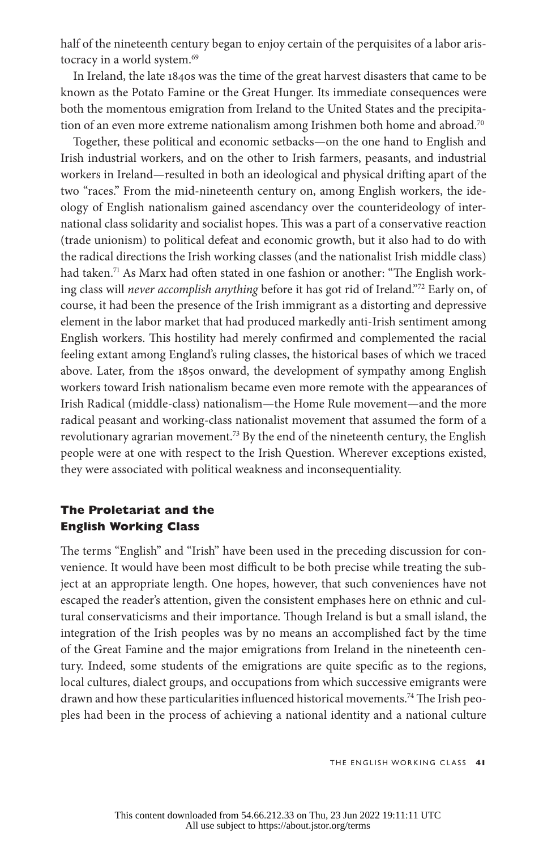half of the nineteenth century began to enjoy certain of the perquisites of a labor aristocracy in a world system.<sup>69</sup>

In Ireland, the late 1840s was the time of the great harvest disasters that came to be known as the Potato Famine or the Great Hunger. Its immediate consequences were both the momentous emigration from Ireland to the United States and the precipitation of an even more extreme nationalism among Irishmen both home and abroad.<sup>70</sup>

Together, these political and economic setbacks—on the one hand to English and Irish industrial workers, and on the other to Irish farmers, peasants, and industrial workers in Ireland—resulted in both an ideological and physical drifting apart of the two "races." From the mid-nineteenth century on, among English workers, the ideology of English nationalism gained ascendancy over the counterideology of international class solidarity and socialist hopes. This was a part of a conservative reaction (trade unionism) to political defeat and economic growth, but it also had to do with the radical directions the Irish working classes (and the nationalist Irish middle class) had taken.<sup>71</sup> As Marx had often stated in one fashion or another: "The English working class will *never accomplish anything* before it has got rid of Ireland."72 Early on, of course, it had been the presence of the Irish immigrant as a distorting and depressive element in the labor market that had produced markedly anti-Irish sentiment among English workers. This hostility had merely confirmed and complemented the racial feeling extant among England's ruling classes, the historical bases of which we traced above. Later, from the 1850s onward, the development of sympathy among English workers toward Irish nationalism became even more remote with the appearances of Irish Radical (middle-class) nationalism—the Home Rule movement—and the more radical peasant and working-class nationalist movement that assumed the form of a revolutionary agrarian movement.73 By the end of the nineteenth century, the English people were at one with respect to the Irish Question. Wherever exceptions existed, they were associated with political weakness and inconsequentiality.

# **The Proletariat and the English Working Class**

The terms "English" and "Irish" have been used in the preceding discussion for convenience. It would have been most difficult to be both precise while treating the subject at an appropriate length. One hopes, however, that such conveniences have not escaped the reader's attention, given the consistent emphases here on ethnic and cultural conservaticisms and their importance. Though Ireland is but a small island, the integration of the Irish peoples was by no means an accomplished fact by the time of the Great Famine and the major emigrations from Ireland in the nineteenth century. Indeed, some students of the emigrations are quite specific as to the regions, local cultures, dialect groups, and occupations from which successive emigrants were drawn and how these particularities influenced historical movements.<sup>74</sup> The Irish peoples had been in the process of achieving a national identity and a national culture

THE ENGLISH WORKING CLASS **41**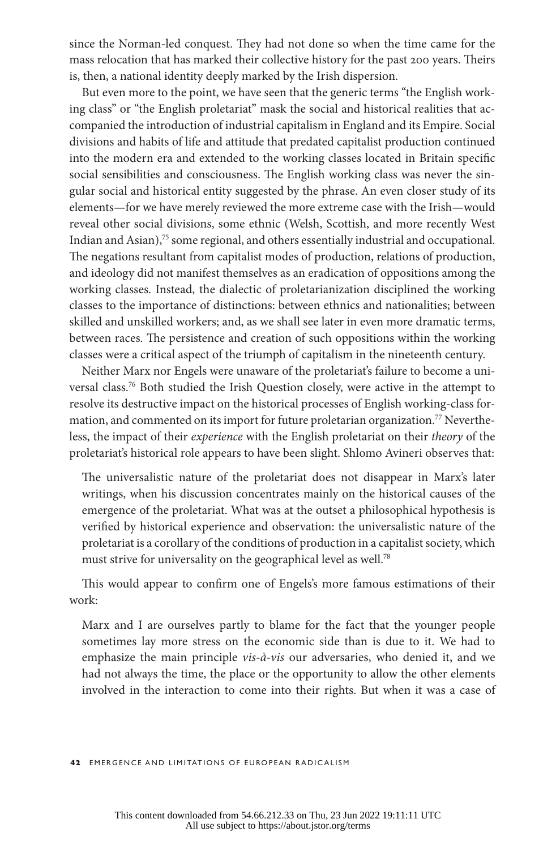since the Norman-led conquest. They had not done so when the time came for the mass relocation that has marked their collective history for the past 200 years. Theirs is, then, a national identity deeply marked by the Irish dispersion.

But even more to the point, we have seen that the generic terms "the English working class" or "the English proletariat" mask the social and historical realities that accompanied the introduction of industrial capitalism in England and its Empire. Social divisions and habits of life and attitude that predated capitalist production continued into the modern era and extended to the working classes located in Britain specific social sensibilities and consciousness. The English working class was never the singular social and historical entity suggested by the phrase. An even closer study of its elements—for we have merely reviewed the more extreme case with the Irish—would reveal other social divisions, some ethnic (Welsh, Scottish, and more recently West Indian and Asian),75 some regional, and others essentially industrial and occupational. The negations resultant from capitalist modes of production, relations of production, and ideology did not manifest themselves as an eradication of oppositions among the working classes. Instead, the dialectic of proletarianization disciplined the working classes to the importance of distinctions: between ethnics and nationalities; between skilled and unskilled workers; and, as we shall see later in even more dramatic terms, between races. The persistence and creation of such oppositions within the working classes were a critical aspect of the triumph of capitalism in the nineteenth century.

Neither Marx nor Engels were unaware of the proletariat's failure to become a universal class.76 Both studied the Irish Question closely, were active in the attempt to resolve its destructive impact on the historical processes of English working-class formation, and commented on its import for future proletarian organization.<sup>77</sup> Nevertheless, the impact of their *experience* with the English proletariat on their *theory* of the proletariat's historical role appears to have been slight. Shlomo Avineri observes that:

The universalistic nature of the proletariat does not disappear in Marx's later writings, when his discussion concentrates mainly on the historical causes of the emergence of the proletariat. What was at the outset a philosophical hypothesis is verified by historical experience and observation: the universalistic nature of the proletariat is a corollary of the conditions of production in a capitalist society, which must strive for universality on the geographical level as well.78

This would appear to confirm one of Engels's more famous estimations of their work:

Marx and I are ourselves partly to blame for the fact that the younger people sometimes lay more stress on the economic side than is due to it. We had to emphasize the main principle *vis-à-vis* our adversaries, who denied it, and we had not always the time, the place or the opportunity to allow the other elements involved in the interaction to come into their rights. But when it was a case of